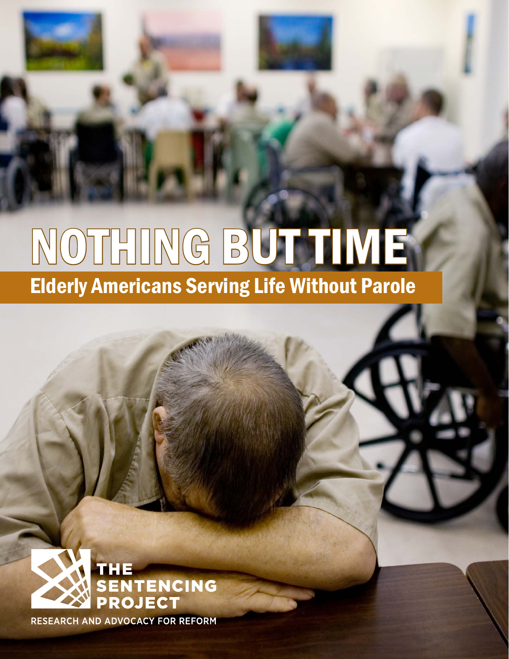# NOTHING BUT TIME Elderly Americans Serving Life Without Parole



RESEARCH AND ADVOCACY FOR REFORM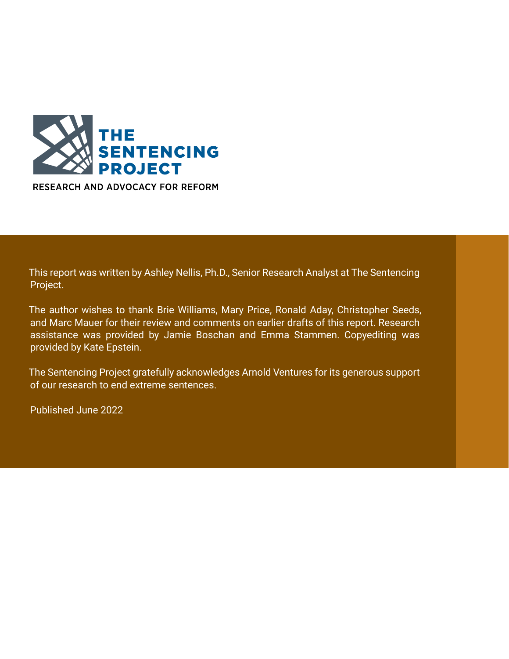

RESEARCH AND ADVOCACY FOR REFORM

This report was written by Ashley Nellis, Ph.D., Senior Research Analyst at The Sentencing Project.

The author wishes to thank Brie Williams, Mary Price, Ronald Aday, Christopher Seeds, and Marc Mauer for their review and comments on earlier drafts of this report. Research assistance was provided by Jamie Boschan and Emma Stammen. Copyediting was provided by Kate Epstein.

The Sentencing Project gratefully acknowledges Arnold Ventures for its generous support of our research to end extreme sentences.

Published June 2022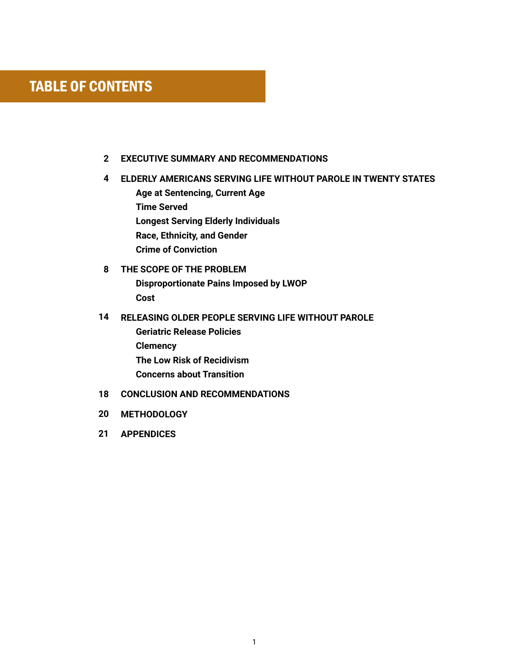## TABLE OF CONTENTS

- **EXECUTIVE SUMMARY AND RECOMMENDATIONS 2**
- **ELDERLY AMERICANS SERVING LIFE WITHOUT PAROLE IN TWENTY STATES 4 Age at Sentencing, Current Age Time Served Longest Serving Elderly Individuals Race, Ethnicity, and Gender Crime of Conviction**
- **THE SCOPE OF THE PROBLEM Disproportionate Pains Imposed by LWOP Cost 8**

#### **RELEASING OLDER PEOPLE SERVING LIFE WITHOUT PAROLE 14**

- **Geriatric Release Policies Clemency The Low Risk of Recidivism Concerns about Transition**
- 18 CONCLUSION AND RECOMMENDATIONS
- **METHODOLOGY 20**
- **APPENDICES 21**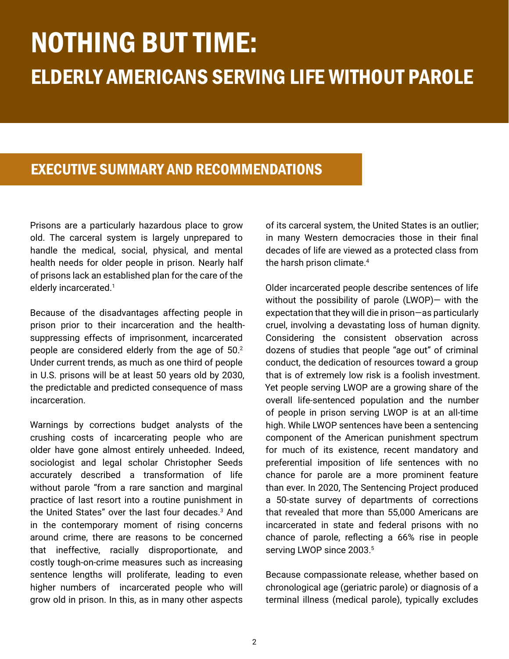## NOTHING BUT TIME: ELDERLY AMERICANS SERVING LIFE WITHOUT PAROLE

## EXECUTIVE SUMMARY AND RECOMMENDATIONS

Prisons are a particularly hazardous place to grow old. The carceral system is largely unprepared to handle the medical, social, physical, and mental health needs for older people in prison. Nearly half of prisons lack an established plan for the care of the elderly incarcerated.<sup>1</sup>

Because of the disadvantages affecting people in prison prior to their incarceration and the healthsuppressing effects of imprisonment, incarcerated people are considered elderly from the age of 50.<sup>2</sup> Under current trends, as much as one third of people in U.S. prisons will be at least 50 years old by 2030, the predictable and predicted consequence of mass incarceration.

Warnings by corrections budget analysts of the crushing costs of incarcerating people who are older have gone almost entirely unheeded. Indeed, sociologist and legal scholar Christopher Seeds accurately described a transformation of life without parole "from a rare sanction and marginal practice of last resort into a routine punishment in the United States" over the last four decades.<sup>3</sup> And in the contemporary moment of rising concerns around crime, there are reasons to be concerned that ineffective, racially disproportionate, and costly tough-on-crime measures such as increasing sentence lengths will proliferate, leading to even higher numbers of incarcerated people who will grow old in prison. In this, as in many other aspects

of its carceral system, the United States is an outlier; in many Western democracies those in their final decades of life are viewed as a protected class from the harsh prison climate.<sup>4</sup>

Older incarcerated people describe sentences of life without the possibility of parole (LWOP)— with the expectation that they will die in prison—as particularly cruel, involving a devastating loss of human dignity. Considering the consistent observation across dozens of studies that people "age out" of criminal conduct, the dedication of resources toward a group that is of extremely low risk is a foolish investment. Yet people serving LWOP are a growing share of the overall life-sentenced population and the number of people in prison serving LWOP is at an all-time high. While LWOP sentences have been a sentencing component of the American punishment spectrum for much of its existence, recent mandatory and preferential imposition of life sentences with no chance for parole are a more prominent feature than ever. In 2020, The Sentencing Project produced a 50-state survey of departments of corrections that revealed that more than 55,000 Americans are incarcerated in state and federal prisons with no chance of parole, reflecting a 66% rise in people serving LWOP since 2003.<sup>5</sup>

Because compassionate release, whether based on chronological age (geriatric parole) or diagnosis of a terminal illness (medical parole), typically excludes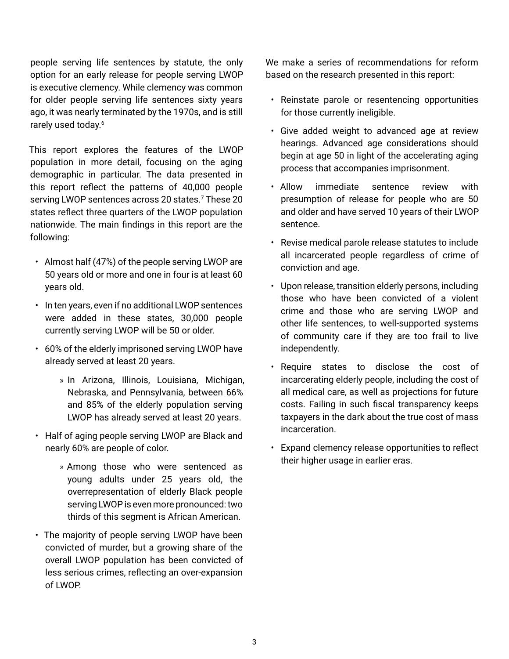people serving life sentences by statute, the only option for an early release for people serving LWOP is executive clemency. While clemency was common for older people serving life sentences sixty years ago, it was nearly terminated by the 1970s, and is still rarely used today.<sup>6</sup>

This report explores the features of the LWOP population in more detail, focusing on the aging demographic in particular. The data presented in this report reflect the patterns of 40,000 people serving LWOP sentences across 20 states.<sup>7</sup> These 20 states reflect three quarters of the LWOP population nationwide. The main findings in this report are the following:

- Almost half (47%) of the people serving LWOP are 50 years old or more and one in four is at least 60 years old.
- In ten years, even if no additional LWOP sentences were added in these states, 30,000 people currently serving LWOP will be 50 or older.
- 60% of the elderly imprisoned serving LWOP have already served at least 20 years.
	- » In Arizona, Illinois, Louisiana, Michigan, Nebraska, and Pennsylvania, between 66% and 85% of the elderly population serving LWOP has already served at least 20 years.
- Half of aging people serving LWOP are Black and nearly 60% are people of color.
	- » Among those who were sentenced as young adults under 25 years old, the overrepresentation of elderly Black people serving LWOP is even more pronounced: two thirds of this segment is African American.
- The majority of people serving LWOP have been convicted of murder, but a growing share of the overall LWOP population has been convicted of less serious crimes, reflecting an over-expansion of LWOP.

We make a series of recommendations for reform based on the research presented in this report:

- Reinstate parole or resentencing opportunities for those currently ineligible.
- Give added weight to advanced age at review hearings. Advanced age considerations should begin at age 50 in light of the accelerating aging process that accompanies imprisonment.
- Allow immediate sentence review with presumption of release for people who are 50 and older and have served 10 years of their LWOP sentence.
- Revise medical parole release statutes to include all incarcerated people regardless of crime of conviction and age.
- Upon release, transition elderly persons, including those who have been convicted of a violent crime and those who are serving LWOP and other life sentences, to well-supported systems of community care if they are too frail to live independently.
- Require states to disclose the cost of incarcerating elderly people, including the cost of all medical care, as well as projections for future costs. Failing in such fiscal transparency keeps taxpayers in the dark about the true cost of mass incarceration.
- Expand clemency release opportunities to reflect their higher usage in earlier eras.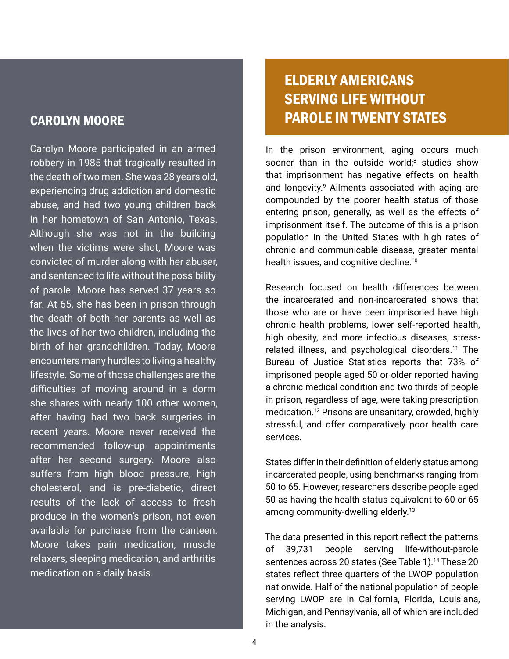### CAROLYN MOORE

Carolyn Moore participated in an armed robbery in 1985 that tragically resulted in the death of two men. She was 28 years old, experiencing drug addiction and domestic abuse, and had two young children back in her hometown of San Antonio, Texas. Although she was not in the building when the victims were shot, Moore was convicted of murder along with her abuser, and sentenced to life without the possibility of parole. Moore has served 37 years so far. At 65, she has been in prison through the death of both her parents as well as the lives of her two children, including the birth of her grandchildren. Today, Moore encounters many hurdles to living a healthy lifestyle. Some of those challenges are the difficulties of moving around in a dorm she shares with nearly 100 other women, after having had two back surgeries in recent years. Moore never received the recommended follow-up appointments after her second surgery. Moore also suffers from high blood pressure, high cholesterol, and is pre-diabetic, direct results of the lack of access to fresh produce in the women's prison, not even available for purchase from the canteen. Moore takes pain medication, muscle relaxers, sleeping medication, and arthritis medication on a daily basis.

## ELDERLY AMERICANS SERVING LIFE WITHOUT PAROLE IN TWENTY STATES

In the prison environment, aging occurs much sooner than in the outside world;<sup>8</sup> studies show that imprisonment has negative effects on health and longevity.<sup>9</sup> Ailments associated with aging are compounded by the poorer health status of those entering prison, generally, as well as the effects of imprisonment itself. The outcome of this is a prison population in the United States with high rates of chronic and communicable disease, greater mental health issues, and cognitive decline.<sup>10</sup>

Research focused on health differences between the incarcerated and non-incarcerated shows that those who are or have been imprisoned have high chronic health problems, lower self-reported health, high obesity, and more infectious diseases, stressrelated illness, and psychological disorders.<sup>11</sup> The Bureau of Justice Statistics reports that 73% of imprisoned people aged 50 or older reported having a chronic medical condition and two thirds of people in prison, regardless of age, were taking prescription medication.12 Prisons are unsanitary, crowded, highly stressful, and offer comparatively poor health care services.

States differ in their definition of elderly status among incarcerated people, using benchmarks ranging from 50 to 65. However, researchers describe people aged 50 as having the health status equivalent to 60 or 65 among community-dwelling elderly.<sup>13</sup>

The data presented in this report reflect the patterns of 39,731 people serving life-without-parole sentences across 20 states (See Table 1).<sup>14</sup> These 20 states reflect three quarters of the LWOP population nationwide. Half of the national population of people serving LWOP are in California, Florida, Louisiana, Michigan, and Pennsylvania, all of which are included in the analysis.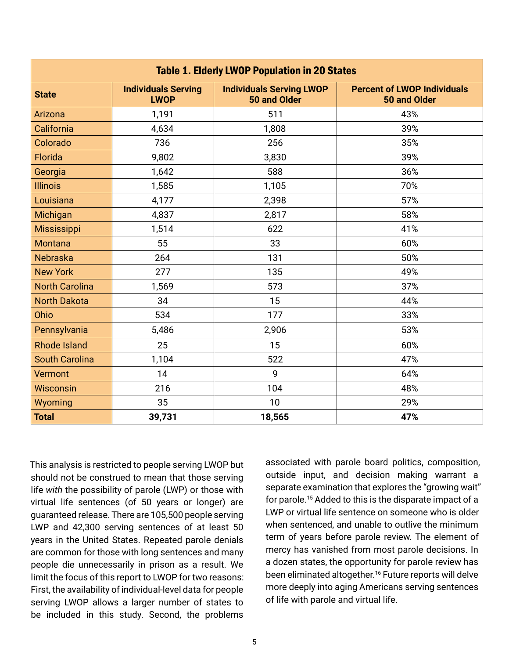| <b>Table 1. Elderly LWOP Population in 20 States</b> |                                           |                                                 |                                                    |  |  |
|------------------------------------------------------|-------------------------------------------|-------------------------------------------------|----------------------------------------------------|--|--|
| <b>State</b>                                         | <b>Individuals Serving</b><br><b>LWOP</b> | <b>Individuals Serving LWOP</b><br>50 and Older | <b>Percent of LWOP Individuals</b><br>50 and Older |  |  |
| Arizona                                              | 1,191                                     | 511                                             | 43%                                                |  |  |
| California                                           | 4,634                                     | 1,808                                           | 39%                                                |  |  |
| Colorado                                             | 736                                       | 256                                             | 35%                                                |  |  |
| Florida                                              | 9,802                                     | 3,830                                           | 39%                                                |  |  |
| Georgia                                              | 1,642                                     | 588                                             | 36%                                                |  |  |
| <b>Illinois</b>                                      | 1,585                                     | 1,105                                           | 70%                                                |  |  |
| Louisiana                                            | 4,177                                     | 2,398                                           | 57%                                                |  |  |
| Michigan                                             | 4,837                                     | 2,817                                           | 58%                                                |  |  |
| <b>Mississippi</b>                                   | 1,514                                     | 622                                             | 41%                                                |  |  |
| <b>Montana</b>                                       | 55                                        | 33                                              | 60%                                                |  |  |
| <b>Nebraska</b>                                      | 264                                       | 131                                             | 50%                                                |  |  |
| <b>New York</b>                                      | 277                                       | 135                                             | 49%                                                |  |  |
| <b>North Carolina</b>                                | 1,569                                     | 573                                             | 37%                                                |  |  |
| <b>North Dakota</b>                                  | 34                                        | 15                                              | 44%                                                |  |  |
| Ohio                                                 | 534                                       | 177                                             | 33%                                                |  |  |
| Pennsylvania                                         | 5,486                                     | 2,906                                           | 53%                                                |  |  |
| <b>Rhode Island</b>                                  | 25                                        | 15                                              | 60%                                                |  |  |
| <b>South Carolina</b>                                | 1,104                                     | 522                                             | 47%                                                |  |  |
| <b>Vermont</b>                                       | 14                                        | 9                                               | 64%                                                |  |  |
| <b>Wisconsin</b>                                     | 216                                       | 104                                             | 48%                                                |  |  |
| Wyoming                                              | 35                                        | 10                                              | 29%                                                |  |  |
| <b>Total</b>                                         | 39,731                                    | 18,565                                          | 47%                                                |  |  |

This analysis is restricted to people serving LWOP but should not be construed to mean that those serving life *with* the possibility of parole (LWP) or those with virtual life sentences (of 50 years or longer) are guaranteed release. There are 105,500 people serving LWP and 42,300 serving sentences of at least 50 years in the United States. Repeated parole denials are common for those with long sentences and many people die unnecessarily in prison as a result. We limit the focus of this report to LWOP for two reasons: First, the availability of individual-level data for people serving LWOP allows a larger number of states to be included in this study. Second, the problems

associated with parole board politics, composition, outside input, and decision making warrant a separate examination that explores the "growing wait" for parole.15 Added to this is the disparate impact of a LWP or virtual life sentence on someone who is older when sentenced, and unable to outlive the minimum term of years before parole review. The element of mercy has vanished from most parole decisions. In a dozen states, the opportunity for parole review has been eliminated altogether.<sup>16</sup> Future reports will delve more deeply into aging Americans serving sentences of life with parole and virtual life.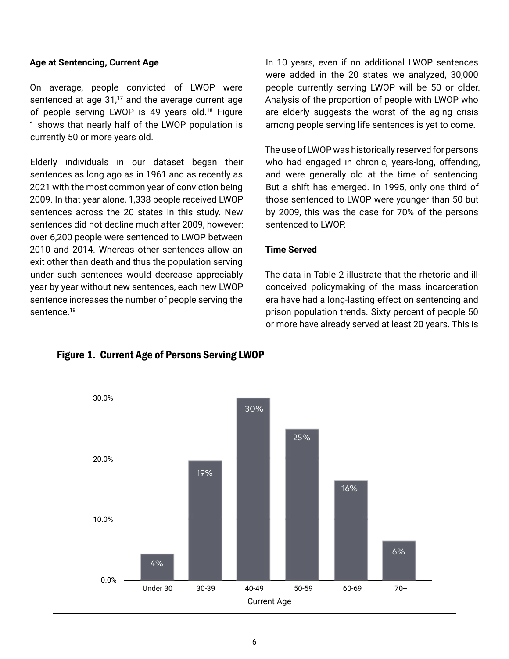#### **Age at Sentencing, Current Age**

On average, people convicted of LWOP were sentenced at age  $31<sup>17</sup>$  and the average current age of people serving LWOP is 49 years old.<sup>18</sup> Figure 1 shows that nearly half of the LWOP population is currently 50 or more years old.

Elderly individuals in our dataset began their sentences as long ago as in 1961 and as recently as 2021 with the most common year of conviction being 2009. In that year alone, 1,338 people received LWOP sentences across the 20 states in this study. New sentences did not decline much after 2009, however: over 6,200 people were sentenced to LWOP between 2010 and 2014. Whereas other sentences allow an exit other than death and thus the population serving under such sentences would decrease appreciably year by year without new sentences, each new LWOP sentence increases the number of people serving the sentence.<sup>19</sup>

In 10 years, even if no additional LWOP sentences were added in the 20 states we analyzed, 30,000 people currently serving LWOP will be 50 or older. Analysis of the proportion of people with LWOP who are elderly suggests the worst of the aging crisis among people serving life sentences is yet to come.

The use of LWOP was historically reserved for persons who had engaged in chronic, years-long, offending, and were generally old at the time of sentencing. But a shift has emerged. In 1995, only one third of those sentenced to LWOP were younger than 50 but by 2009, this was the case for 70% of the persons sentenced to LWOP.

#### **Time Served**

The data in Table 2 illustrate that the rhetoric and illconceived policymaking of the mass incarceration era have had a long-lasting effect on sentencing and prison population trends. Sixty percent of people 50 or more have already served at least 20 years. This is

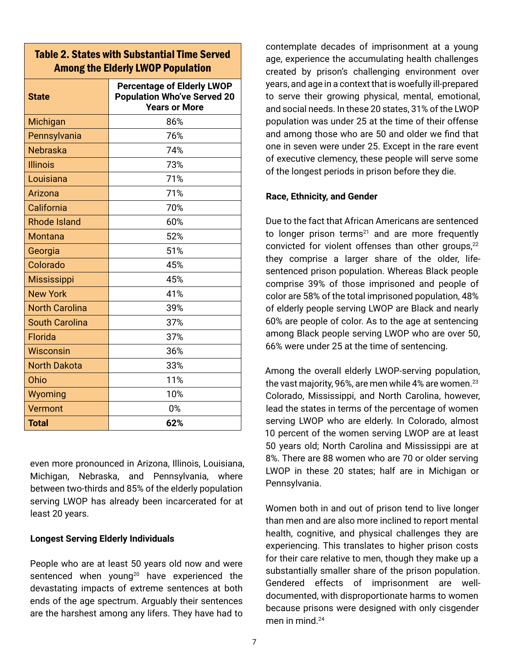#### Table 2. States with Substantial Time Served Among the Elderly LWOP Population

| <b>State</b>          | <b>Percentage of Elderly LWOP</b><br><b>Population Who've Served 20</b><br><b>Years or More</b> |
|-----------------------|-------------------------------------------------------------------------------------------------|
| Michigan              | 86%                                                                                             |
| Pennsylvania          | 76%                                                                                             |
| <b>Nebraska</b>       | 74%                                                                                             |
| <b>Illinois</b>       | 73%                                                                                             |
| Louisiana             | 71%                                                                                             |
| Arizona               | 71%                                                                                             |
| California            | 70%                                                                                             |
| <b>Rhode Island</b>   | 60%                                                                                             |
| <b>Montana</b>        | 52%                                                                                             |
| Georgia               | 51%                                                                                             |
| Colorado              | 45%                                                                                             |
| <b>Mississippi</b>    | 45%                                                                                             |
| <b>New York</b>       | 41%                                                                                             |
| <b>North Carolina</b> | 39%                                                                                             |
| <b>South Carolina</b> | 37%                                                                                             |
| Florida               | 37%                                                                                             |
| Wisconsin             | 36%                                                                                             |
| <b>North Dakota</b>   | 33%                                                                                             |
| Ohio                  | 11%                                                                                             |
| Wyoming               | 10%                                                                                             |
| Vermont               | 0%                                                                                              |
| <b>Total</b>          | 62%                                                                                             |

even more pronounced in Arizona, Illinois, Louisiana, Michigan, Nebraska, and Pennsylvania, where between two-thirds and 85% of the elderly population serving LWOP has already been incarcerated for at least 20 years.

#### **Longest Serving Elderly Individuals**

People who are at least 50 years old now and were sentenced when young<sup>20</sup> have experienced the devastating impacts of extreme sentences at both ends of the age spectrum. Arguably their sentences are the harshest among any lifers. They have had to

contemplate decades of imprisonment at a young age, experience the accumulating health challenges created by prison's challenging environment over years, and age in a context that is woefully ill-prepared to serve their growing physical, mental, emotional, and social needs. In these 20 states, 31% of the LWOP population was under 25 at the time of their offense and among those who are 50 and older we find that one in seven were under 25. Except in the rare event of executive clemency, these people will serve some of the longest periods in prison before they die.

#### **Race, Ethnicity, and Gender**

Due to the fact that African Americans are sentenced to longer prison terms $21$  and are more frequently convicted for violent offenses than other groups,<sup>22</sup> they comprise a larger share of the older, lifesentenced prison population. Whereas Black people comprise 39% of those imprisoned and people of color are 58% of the total imprisoned population, 48% of elderly people serving LWOP are Black and nearly 60% are people of color. As to the age at sentencing among Black people serving LWOP who are over 50, 66% were under 25 at the time of sentencing.

Among the overall elderly LWOP-serving population, the vast majority, 96%, are men while 4% are women.<sup>23</sup> Colorado, Mississippi, and North Carolina, however, lead the states in terms of the percentage of women serving LWOP who are elderly. In Colorado, almost 10 percent of the women serving LWOP are at least 50 years old; North Carolina and Mississippi are at 8%. There are 88 women who are 70 or older serving LWOP in these 20 states; half are in Michigan or Pennsylvania.

Women both in and out of prison tend to live longer than men and are also more inclined to report mental health, cognitive, and physical challenges they are experiencing. This translates to higher prison costs for their care relative to men, though they make up a substantially smaller share of the prison population. Gendered effects of imprisonment are welldocumented, with disproportionate harms to women because prisons were designed with only cisgender men in mind.<sup>24</sup>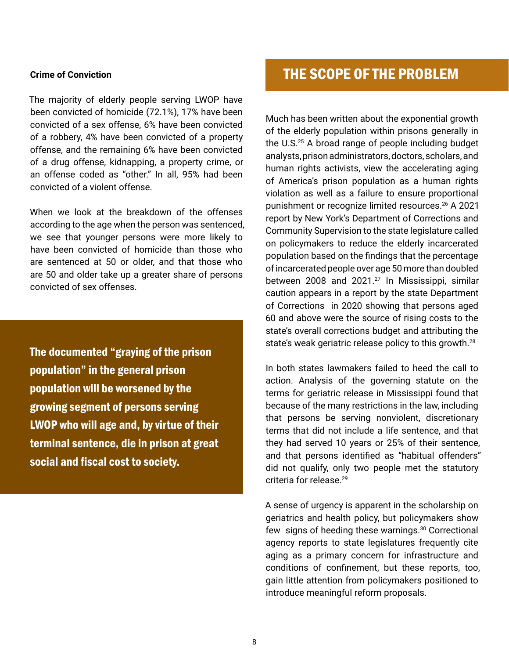#### **Crime of Conviction**

The majority of elderly people serving LWOP have been convicted of homicide (72.1%), 17% have been convicted of a sex offense, 6% have been convicted of a robbery, 4% have been convicted of a property offense, and the remaining 6% have been convicted of a drug offense, kidnapping, a property crime, or an offense coded as "other." In all, 95% had been convicted of a violent offense.

When we look at the breakdown of the offenses according to the age when the person was sentenced, we see that younger persons were more likely to have been convicted of homicide than those who are sentenced at 50 or older, and that those who are 50 and older take up a greater share of persons convicted of sex offenses.

The documented "graying of the prison population" in the general prison population will be worsened by the growing segment of persons serving LWOP who will age and, by virtue of their terminal sentence, die in prison at great social and fiscal cost to society.

## THE SCOPE OF THE PROBLEM

Much has been written about the exponential growth of the elderly population within prisons generally in the U.S.25 A broad range of people including budget analysts, prison administrators, doctors, scholars, and human rights activists, view the accelerating aging of America's prison population as a human rights violation as well as a failure to ensure proportional punishment or recognize limited resources.<sup>26</sup> A 2021 report by New York's Department of Corrections and Community Supervision to the state legislature called on policymakers to reduce the elderly incarcerated population based on the findings that the percentage of incarcerated people over age 50 more than doubled between 2008 and 2021.<sup>27</sup> In Mississippi, similar caution appears in a report by the state Department of Corrections in 2020 showing that persons aged 60 and above were the source of rising costs to the state's overall corrections budget and attributing the state's weak geriatric release policy to this growth.<sup>28</sup>

In both states lawmakers failed to heed the call to action. Analysis of the governing statute on the terms for geriatric release in Mississippi found that because of the many restrictions in the law, including that persons be serving nonviolent, discretionary terms that did not include a life sentence, and that they had served 10 years or 25% of their sentence, and that persons identified as "habitual offenders" did not qualify, only two people met the statutory criteria for release.<sup>29</sup>

A sense of urgency is apparent in the scholarship on geriatrics and health policy, but policymakers show few signs of heeding these warnings.<sup>30</sup> Correctional agency reports to state legislatures frequently cite aging as a primary concern for infrastructure and conditions of confinement, but these reports, too, gain little attention from policymakers positioned to introduce meaningful reform proposals.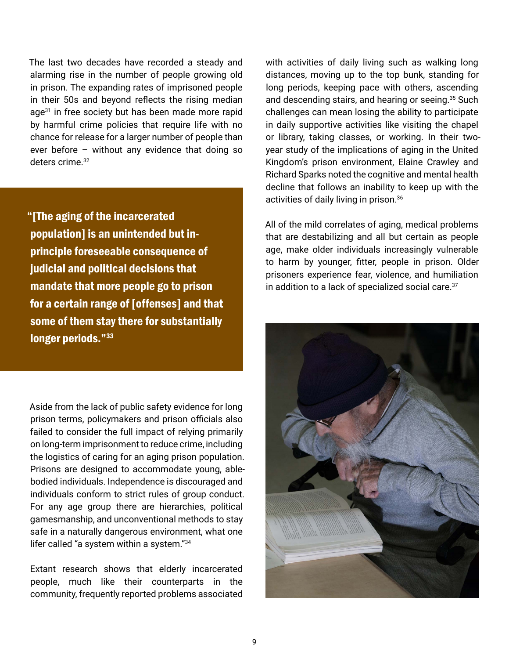The last two decades have recorded a steady and alarming rise in the number of people growing old in prison. The expanding rates of imprisoned people in their 50s and beyond reflects the rising median age<sup>31</sup> in free society but has been made more rapid by harmful crime policies that require life with no chance for release for a larger number of people than ever before – without any evidence that doing so deters crime.<sup>32</sup>

"[The aging of the incarcerated population] is an unintended but inprinciple foreseeable consequence of judicial and political decisions that mandate that more people go to prison for a certain range of [offenses] and that some of them stay there for substantially longer periods."<sup>33</sup>

Aside from the lack of public safety evidence for long prison terms, policymakers and prison officials also failed to consider the full impact of relying primarily on long-term imprisonment to reduce crime, including the logistics of caring for an aging prison population. Prisons are designed to accommodate young, ablebodied individuals. Independence is discouraged and individuals conform to strict rules of group conduct. For any age group there are hierarchies, political gamesmanship, and unconventional methods to stay safe in a naturally dangerous environment, what one lifer called "a system within a system."34

Extant research shows that elderly incarcerated people, much like their counterparts in the community, frequently reported problems associated

with activities of daily living such as walking long distances, moving up to the top bunk, standing for long periods, keeping pace with others, ascending and descending stairs, and hearing or seeing.<sup>35</sup> Such challenges can mean losing the ability to participate in daily supportive activities like visiting the chapel or library, taking classes, or working. In their twoyear study of the implications of aging in the United Kingdom's prison environment, Elaine Crawley and Richard Sparks noted the cognitive and mental health decline that follows an inability to keep up with the activities of daily living in prison.<sup>36</sup>

All of the mild correlates of aging, medical problems that are destabilizing and all but certain as people age, make older individuals increasingly vulnerable to harm by younger, fitter, people in prison. Older prisoners experience fear, violence, and humiliation in addition to a lack of specialized social care.<sup>37</sup>

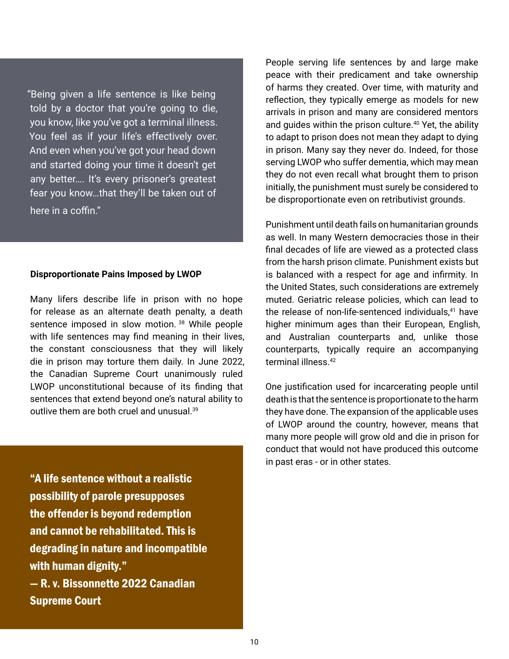"Being given a life sentence is like being told by a doctor that you're going to die, you know, like you've got a terminal illness. You feel as if your life's effectively over. And even when you've got your head down and started doing your time it doesn't get any better…. It's every prisoner's greatest fear you know…that they'll be taken out of here in a coffin."

#### **Disproportionate Pains Imposed by LWOP**

Many lifers describe life in prison with no hope for release as an alternate death penalty, a death sentence imposed in slow motion. <sup>38</sup> While people with life sentences may find meaning in their lives, the constant consciousness that they will likely die in prison may torture them daily. In June 2022, the Canadian Supreme Court unanimously ruled LWOP unconstitutional because of its finding that sentences that extend beyond one's natural ability to outlive them are both cruel and unusual.39

"A life sentence without a realistic possibility of parole presupposes the offender is beyond redemption and cannot be rehabilitated. This is degrading in nature and incompatible with human dignity." — R. v. Bissonnette 2022 Canadian Supreme Court

People serving life sentences by and large make peace with their predicament and take ownership of harms they created. Over time, with maturity and reflection, they typically emerge as models for new arrivals in prison and many are considered mentors and quides within the prison culture. $40$  Yet, the ability to adapt to prison does not mean they adapt to dying in prison. Many say they never do. Indeed, for those serving LWOP who suffer dementia, which may mean they do not even recall what brought them to prison initially, the punishment must surely be considered to be disproportionate even on retributivist grounds.

Punishment until death fails on humanitarian grounds as well. In many Western democracies those in their final decades of life are viewed as a protected class from the harsh prison climate. Punishment exists but is balanced with a respect for age and infirmity. In the United States, such considerations are extremely muted. Geriatric release policies, which can lead to the release of non-life-sentenced individuals,<sup>41</sup> have higher minimum ages than their European, English, and Australian counterparts and, unlike those counterparts, typically require an accompanying terminal illness.<sup>42</sup>

One justification used for incarcerating people until death is that the sentence is proportionate to the harm they have done. The expansion of the applicable uses of LWOP around the country, however, means that many more people will grow old and die in prison for conduct that would not have produced this outcome in past eras - or in other states.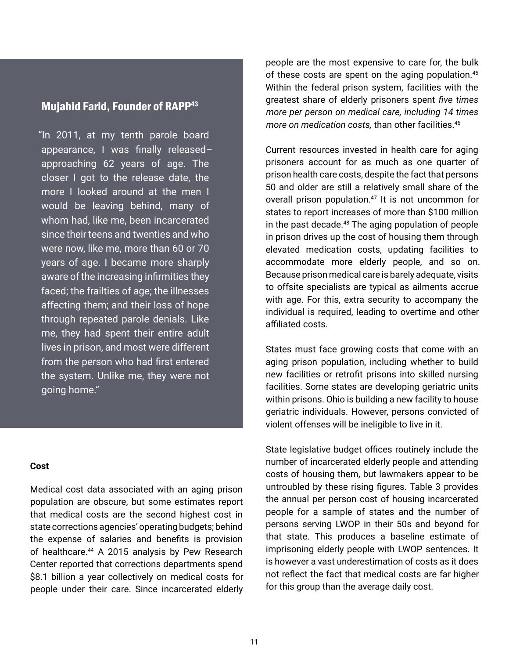#### Mujahid Farid, Founder of RAPP43

"In 2011, at my tenth parole board appearance, I was finally released– approaching 62 years of age. The closer I got to the release date, the more I looked around at the men I would be leaving behind, many of whom had, like me, been incarcerated since their teens and twenties and who were now, like me, more than 60 or 70 years of age. I became more sharply aware of the increasing infirmities they faced; the frailties of age; the illnesses affecting them; and their loss of hope through repeated parole denials. Like me, they had spent their entire adult lives in prison, and most were different from the person who had first entered the system. Unlike me, they were not going home."

#### **Cost**

Medical cost data associated with an aging prison population are obscure, but some estimates report that medical costs are the second highest cost in state corrections agencies' operating budgets; behind the expense of salaries and benefits is provision of healthcare.<sup>44</sup> A 2015 analysis by Pew Research Center reported that corrections departments spend \$8.1 billion a year collectively on medical costs for people under their care. Since incarcerated elderly

people are the most expensive to care for, the bulk of these costs are spent on the aging population.<sup>45</sup> Within the federal prison system, facilities with the greatest share of elderly prisoners spent *five times more per person on medical care, including 14 times more on medication costs,* than other facilities.<sup>46</sup>

Current resources invested in health care for aging prisoners account for as much as one quarter of prison health care costs, despite the fact that persons 50 and older are still a relatively small share of the overall prison population.<sup>47</sup> It is not uncommon for states to report increases of more than \$100 million in the past decade.<sup>48</sup> The aging population of people in prison drives up the cost of housing them through elevated medication costs, updating facilities to accommodate more elderly people, and so on. Because prison medical care is barely adequate, visits to offsite specialists are typical as ailments accrue with age. For this, extra security to accompany the individual is required, leading to overtime and other affiliated costs.

States must face growing costs that come with an aging prison population, including whether to build new facilities or retrofit prisons into skilled nursing facilities. Some states are developing geriatric units within prisons. Ohio is building a new facility to house geriatric individuals. However, persons convicted of violent offenses will be ineligible to live in it.

State legislative budget offices routinely include the number of incarcerated elderly people and attending costs of housing them, but lawmakers appear to be untroubled by these rising figures. Table 3 provides the annual per person cost of housing incarcerated people for a sample of states and the number of persons serving LWOP in their 50s and beyond for that state. This produces a baseline estimate of imprisoning elderly people with LWOP sentences. It is however a vast underestimation of costs as it does not reflect the fact that medical costs are far higher for this group than the average daily cost.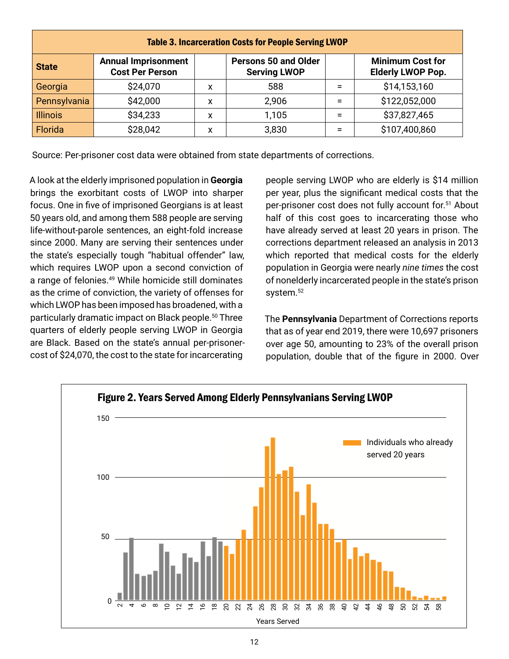| <b>Table 3. Incarceration Costs for People Serving LWOP</b> |                                                      |   |                                                    |     |                                                     |
|-------------------------------------------------------------|------------------------------------------------------|---|----------------------------------------------------|-----|-----------------------------------------------------|
| <b>State</b>                                                | <b>Annual Imprisonment</b><br><b>Cost Per Person</b> |   | <b>Persons 50 and Older</b><br><b>Serving LWOP</b> |     | <b>Minimum Cost for</b><br><b>Elderly LWOP Pop.</b> |
| Georgia                                                     | \$24,070                                             | x | 588                                                | $=$ | \$14,153,160                                        |
| Pennsylvania                                                | \$42,000                                             | x | 2,906                                              | Ξ   | \$122,052,000                                       |
| <b>Illinois</b>                                             | \$34,233                                             | x | 1,105                                              | Ξ   | \$37,827,465                                        |
| Florida                                                     | \$28,042                                             | x | 3,830                                              | Ξ   | \$107,400,860                                       |

Source: Per-prisoner cost data were obtained from state departments of corrections.

A look at the elderly imprisoned population in **Georgia**  brings the exorbitant costs of LWOP into sharper focus. One in five of imprisoned Georgians is at least 50 years old, and among them 588 people are serving life-without-parole sentences, an eight-fold increase since 2000. Many are serving their sentences under the state's especially tough "habitual offender" law, which requires LWOP upon a second conviction of a range of felonies.49 While homicide still dominates as the crime of conviction, the variety of offenses for which LWOP has been imposed has broadened, with a particularly dramatic impact on Black people.<sup>50</sup> Three quarters of elderly people serving LWOP in Georgia are Black. Based on the state's annual per-prisonercost of \$24,070, the cost to the state for incarcerating

people serving LWOP who are elderly is \$14 million per year, plus the significant medical costs that the per-prisoner cost does not fully account for.51 About half of this cost goes to incarcerating those who have already served at least 20 years in prison. The corrections department released an analysis in 2013 which reported that medical costs for the elderly population in Georgia were nearly *nine times* the cost of nonelderly incarcerated people in the state's prison system.<sup>52</sup>

The **Pennsylvania** Department of Corrections reports that as of year end 2019, there were 10,697 prisoners over age 50, amounting to 23% of the overall prison population, double that of the figure in 2000. Over

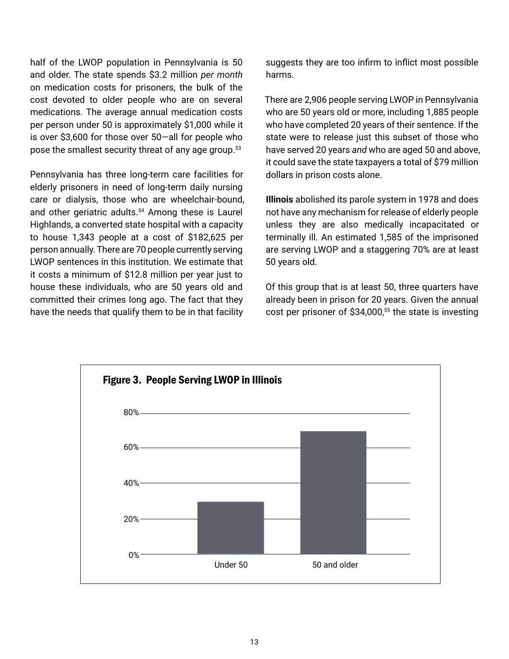half of the LWOP population in Pennsylvania is 50 and older. The state spends \$3.2 million *per month*  on medication costs for prisoners, the bulk of the cost devoted to older people who are on several medications. The average annual medication costs per person under 50 is approximately \$1,000 while it is over \$3,600 for those over 50—all for people who pose the smallest security threat of any age group.<sup>53</sup>

Pennsylvania has three long-term care facilities for elderly prisoners in need of long-term daily nursing care or dialysis, those who are wheelchair-bound, and other geriatric adults.<sup>54</sup> Among these is Laurel Highlands, a converted state hospital with a capacity to house 1,343 people at a cost of \$182,625 per person annually. There are 70 people currently serving LWOP sentences in this institution. We estimate that it costs a minimum of \$12.8 million per year just to house these individuals, who are 50 years old and committed their crimes long ago. The fact that they have the needs that qualify them to be in that facility

suggests they are too infirm to inflict most possible harms.

There are 2,906 people serving LWOP in Pennsylvania who are 50 years old or more, including 1,885 people who have completed 20 years of their sentence. If the state were to release just this subset of those who have served 20 years *and* who are aged 50 and above, it could save the state taxpayers a total of \$79 million dollars in prison costs alone.

**Illinois** abolished its parole system in 1978 and does not have any mechanism for release of elderly people unless they are also medically incapacitated or terminally ill. An estimated 1,585 of the imprisoned are serving LWOP and a staggering 70% are at least 50 years old.

Of this group that is at least 50, three quarters have already been in prison for 20 years. Given the annual cost per prisoner of  $$34,000$ ,<sup>55</sup> the state is investing

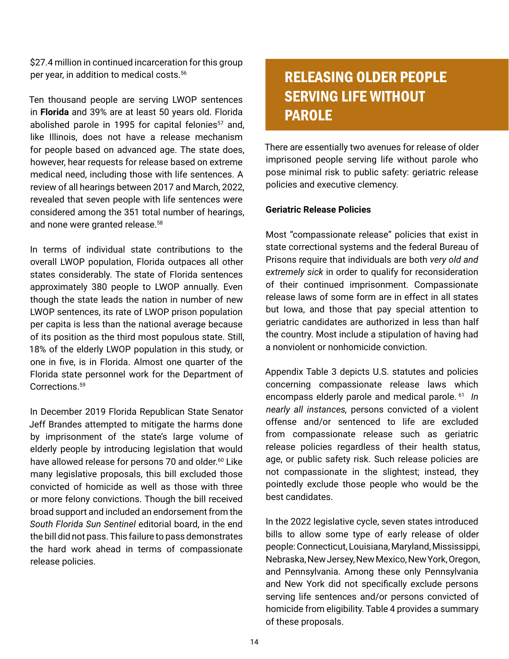\$27.4 million in continued incarceration for this group per year, in addition to medical costs.<sup>56</sup>

Ten thousand people are serving LWOP sentences in **Florida** and 39% are at least 50 years old. Florida abolished parole in 1995 for capital felonies<sup>57</sup> and, like Illinois, does not have a release mechanism for people based on advanced age. The state does, however, hear requests for release based on extreme medical need, including those with life sentences. A review of all hearings between 2017 and March, 2022, revealed that seven people with life sentences were considered among the 351 total number of hearings, and none were granted release.<sup>58</sup>

In terms of individual state contributions to the overall LWOP population, Florida outpaces all other states considerably. The state of Florida sentences approximately 380 people to LWOP annually. Even though the state leads the nation in number of new LWOP sentences, its rate of LWOP prison population per capita is less than the national average because of its position as the third most populous state. Still, 18% of the elderly LWOP population in this study, or one in five, is in Florida. Almost one quarter of the Florida state personnel work for the Department of Corrections.<sup>59</sup>

In December 2019 Florida Republican State Senator Jeff Brandes attempted to mitigate the harms done by imprisonment of the state's large volume of elderly people by introducing legislation that would have allowed release for persons 70 and older.<sup>60</sup> Like many legislative proposals, this bill excluded those convicted of homicide as well as those with three or more felony convictions. Though the bill received broad support and included an endorsement from the *South Florida Sun Sentinel* editorial board, in the end the bill did not pass. This failure to pass demonstrates the hard work ahead in terms of compassionate release policies.

## RELEASING OLDER PEOPLE SERVING LIFE WITHOUT PAROLE

There are essentially two avenues for release of older imprisoned people serving life without parole who pose minimal risk to public safety: geriatric release policies and executive clemency.

#### **Geriatric Release Policies**

Most "compassionate release" policies that exist in state correctional systems and the federal Bureau of Prisons require that individuals are both *very old and extremely sick* in order to qualify for reconsideration of their continued imprisonment. Compassionate release laws of some form are in effect in all states but Iowa, and those that pay special attention to geriatric candidates are authorized in less than half the country. Most include a stipulation of having had a nonviolent or nonhomicide conviction.

Appendix Table 3 depicts U.S. statutes and policies concerning compassionate release laws which encompass elderly parole and medical parole.<sup>61</sup> *In nearly all instances,* persons convicted of a violent offense and/or sentenced to life are excluded from compassionate release such as geriatric release policies regardless of their health status, age, or public safety risk. Such release policies are not compassionate in the slightest; instead, they pointedly exclude those people who would be the best candidates.

In the 2022 legislative cycle, seven states introduced bills to allow some type of early release of older people: Connecticut, Louisiana, Maryland, Mississippi, Nebraska, New Jersey, New Mexico, New York, Oregon, and Pennsylvania. Among these only Pennsylvania and New York did not specifically exclude persons serving life sentences and/or persons convicted of homicide from eligibility. Table 4 provides a summary of these proposals.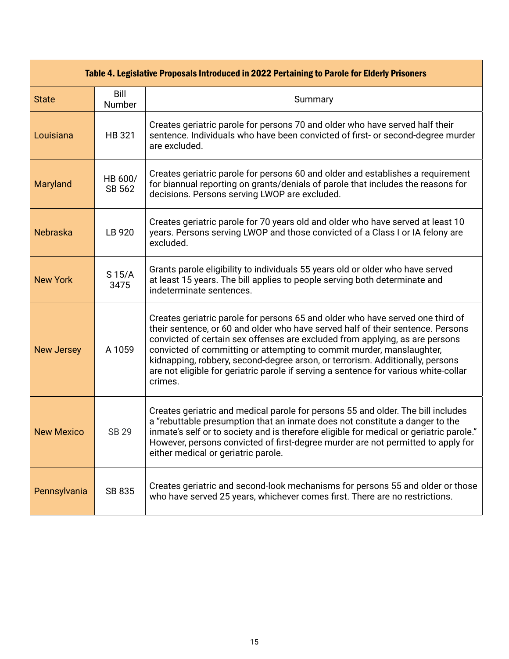|                   | Table 4. Legislative Proposals Introduced in 2022 Pertaining to Parole for Elderly Prisoners |                                                                                                                                                                                                                                                                                                                                                                                                                                                                                                                |  |  |  |
|-------------------|----------------------------------------------------------------------------------------------|----------------------------------------------------------------------------------------------------------------------------------------------------------------------------------------------------------------------------------------------------------------------------------------------------------------------------------------------------------------------------------------------------------------------------------------------------------------------------------------------------------------|--|--|--|
| <b>State</b>      | Bill<br>Number                                                                               | Summary                                                                                                                                                                                                                                                                                                                                                                                                                                                                                                        |  |  |  |
| Louisiana         | HB 321                                                                                       | Creates geriatric parole for persons 70 and older who have served half their<br>sentence. Individuals who have been convicted of first- or second-degree murder<br>are excluded.                                                                                                                                                                                                                                                                                                                               |  |  |  |
| Maryland          | HB 600/<br>SB 562                                                                            | Creates geriatric parole for persons 60 and older and establishes a requirement<br>for biannual reporting on grants/denials of parole that includes the reasons for<br>decisions. Persons serving LWOP are excluded.                                                                                                                                                                                                                                                                                           |  |  |  |
| Nebraska          | LB 920                                                                                       | Creates geriatric parole for 70 years old and older who have served at least 10<br>years. Persons serving LWOP and those convicted of a Class I or IA felony are<br>excluded.                                                                                                                                                                                                                                                                                                                                  |  |  |  |
| <b>New York</b>   | $S$ 15/A<br>3475                                                                             | Grants parole eligibility to individuals 55 years old or older who have served<br>at least 15 years. The bill applies to people serving both determinate and<br>indeterminate sentences.                                                                                                                                                                                                                                                                                                                       |  |  |  |
| <b>New Jersey</b> | A 1059                                                                                       | Creates geriatric parole for persons 65 and older who have served one third of<br>their sentence, or 60 and older who have served half of their sentence. Persons<br>convicted of certain sex offenses are excluded from applying, as are persons<br>convicted of committing or attempting to commit murder, manslaughter,<br>kidnapping, robbery, second-degree arson, or terrorism. Additionally, persons<br>are not eligible for geriatric parole if serving a sentence for various white-collar<br>crimes. |  |  |  |
| <b>New Mexico</b> | <b>SB 29</b>                                                                                 | Creates geriatric and medical parole for persons 55 and older. The bill includes<br>a "rebuttable presumption that an inmate does not constitute a danger to the<br>inmate's self or to society and is therefore eligible for medical or geriatric parole."<br>However, persons convicted of first-degree murder are not permitted to apply for<br>either medical or geriatric parole.                                                                                                                         |  |  |  |
| Pennsylvania      | SB 835                                                                                       | Creates geriatric and second-look mechanisms for persons 55 and older or those<br>who have served 25 years, whichever comes first. There are no restrictions.                                                                                                                                                                                                                                                                                                                                                  |  |  |  |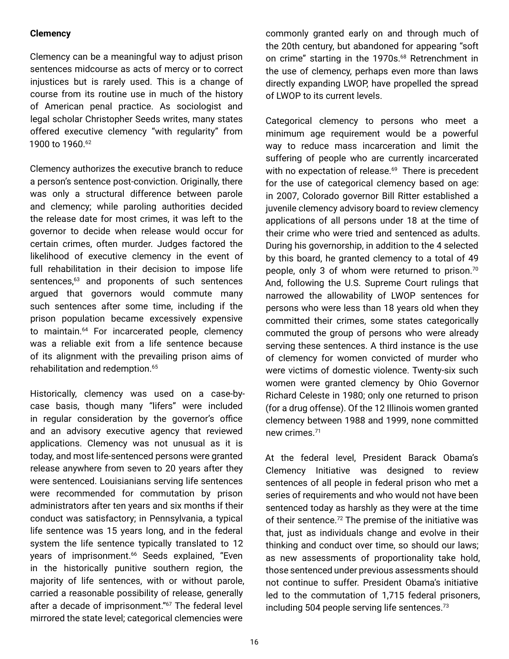#### **Clemency**

Clemency can be a meaningful way to adjust prison sentences midcourse as acts of mercy or to correct injustices but is rarely used. This is a change of course from its routine use in much of the history of American penal practice. As sociologist and legal scholar Christopher Seeds writes, many states offered executive clemency "with regularity" from 1900 to 1960.62

Clemency authorizes the executive branch to reduce a person's sentence post-conviction. Originally, there was only a structural difference between parole and clemency; while paroling authorities decided the release date for most crimes, it was left to the governor to decide when release would occur for certain crimes, often murder. Judges factored the likelihood of executive clemency in the event of full rehabilitation in their decision to impose life sentences,<sup>63</sup> and proponents of such sentences argued that governors would commute many such sentences after some time, including if the prison population became excessively expensive to maintain.<sup>64</sup> For incarcerated people, clemency was a reliable exit from a life sentence because of its alignment with the prevailing prison aims of rehabilitation and redemption.<sup>65</sup>

Historically, clemency was used on a case-bycase basis, though many "lifers" were included in regular consideration by the governor's office and an advisory executive agency that reviewed applications. Clemency was not unusual as it is today, and most life-sentenced persons were granted release anywhere from seven to 20 years after they were sentenced. Louisianians serving life sentences were recommended for commutation by prison administrators after ten years and six months if their conduct was satisfactory; in Pennsylvania, a typical life sentence was 15 years long, and in the federal system the life sentence typically translated to 12 years of imprisonment.<sup>66</sup> Seeds explained, "Even in the historically punitive southern region, the majority of life sentences, with or without parole, carried a reasonable possibility of release, generally after a decade of imprisonment."<sup>67</sup> The federal level mirrored the state level; categorical clemencies were

commonly granted early on and through much of the 20th century, but abandoned for appearing "soft on crime" starting in the 1970s.<sup>68</sup> Retrenchment in the use of clemency, perhaps even more than laws directly expanding LWOP, have propelled the spread of LWOP to its current levels.

Categorical clemency to persons who meet a minimum age requirement would be a powerful way to reduce mass incarceration and limit the suffering of people who are currently incarcerated with no expectation of release.<sup>69</sup> There is precedent for the use of categorical clemency based on age: in 2007, Colorado governor Bill Ritter established a juvenile clemency advisory board to review clemency applications of all persons under 18 at the time of their crime who were tried and sentenced as adults. During his governorship, in addition to the 4 selected by this board, he granted clemency to a total of 49 people, only 3 of whom were returned to prison.<sup>70</sup> And, following the U.S. Supreme Court rulings that narrowed the allowability of LWOP sentences for persons who were less than 18 years old when they committed their crimes, some states categorically commuted the group of persons who were already serving these sentences. A third instance is the use of clemency for women convicted of murder who were victims of domestic violence. Twenty-six such women were granted clemency by Ohio Governor Richard Celeste in 1980; only one returned to prison (for a drug offense). Of the 12 Illinois women granted clemency between 1988 and 1999, none committed new crimes.71

At the federal level, President Barack Obama's Clemency Initiative was designed to review sentences of all people in federal prison who met a series of requirements and who would not have been sentenced today as harshly as they were at the time of their sentence.<sup>72</sup> The premise of the initiative was that, just as individuals change and evolve in their thinking and conduct over time, so should our laws; as new assessments of proportionality take hold, those sentenced under previous assessments should not continue to suffer. President Obama's initiative led to the commutation of 1,715 federal prisoners, including 504 people serving life sentences.<sup>73</sup>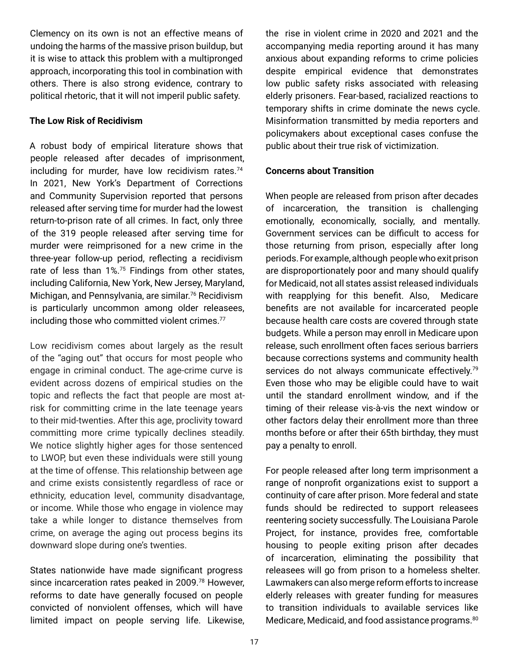Clemency on its own is not an effective means of undoing the harms of the massive prison buildup, but it is wise to attack this problem with a multipronged approach, incorporating this tool in combination with others. There is also strong evidence, contrary to political rhetoric, that it will not imperil public safety.

#### **The Low Risk of Recidivism**

A robust body of empirical literature shows that people released after decades of imprisonment, including for murder, have low recidivism rates.<sup>74</sup> In 2021, New York's Department of Corrections and Community Supervision reported that persons released after serving time for murder had the lowest return-to-prison rate of all crimes. In fact, only three of the 319 people released after serving time for murder were reimprisoned for a new crime in the three-year follow-up period, reflecting a recidivism rate of less than 1%.<sup>75</sup> Findings from other states, including California, New York, New Jersey, Maryland, Michigan, and Pennsylvania, are similar.<sup>76</sup> Recidivism is particularly uncommon among older releasees, including those who committed violent crimes.<sup>77</sup>

Low recidivism comes about largely as the result of the "aging out" that occurs for most people who engage in criminal conduct. The age-crime curve is evident across dozens of empirical studies on the topic and reflects the fact that people are most atrisk for committing crime in the late teenage years to their mid-twenties. After this age, proclivity toward committing more crime typically declines steadily. We notice slightly higher ages for those sentenced to LWOP, but even these individuals were still young at the time of offense. This relationship between age and crime exists consistently regardless of race or ethnicity, education level, community disadvantage, or income. While those who engage in violence may take a while longer to distance themselves from crime, on average the aging out process begins its downward slope during one's twenties.

States nationwide have made significant progress since incarceration rates peaked in 2009.<sup>78</sup> However, reforms to date have generally focused on people convicted of nonviolent offenses, which will have limited impact on people serving life. Likewise, the rise in violent crime in 2020 and 2021 and the accompanying media reporting around it has many anxious about expanding reforms to crime policies despite empirical evidence that demonstrates low public safety risks associated with releasing elderly prisoners. Fear-based, racialized reactions to temporary shifts in crime dominate the news cycle. Misinformation transmitted by media reporters and policymakers about exceptional cases confuse the public about their true risk of victimization.

#### **Concerns about Transition**

When people are released from prison after decades of incarceration, the transition is challenging emotionally, economically, socially, and mentally. Government services can be difficult to access for those returning from prison, especially after long periods. For example, although people who exit prison are disproportionately poor and many should qualify for Medicaid, not all states assist released individuals with reapplying for this benefit. Also, Medicare benefits are not available for incarcerated people because health care costs are covered through state budgets. While a person may enroll in Medicare upon release, such enrollment often faces serious barriers because corrections systems and community health services do not always communicate effectively.<sup>79</sup> Even those who may be eligible could have to wait until the standard enrollment window, and if the timing of their release vis-à-vis the next window or other factors delay their enrollment more than three months before or after their 65th birthday, they must pay a penalty to enroll.

For people released after long term imprisonment a range of nonprofit organizations exist to support a continuity of care after prison. More federal and state funds should be redirected to support releasees reentering society successfully. The Louisiana Parole Project, for instance, provides free, comfortable housing to people exiting prison after decades of incarceration, eliminating the possibility that releasees will go from prison to a homeless shelter. Lawmakers can also merge reform efforts to increase elderly releases with greater funding for measures to transition individuals to available services like Medicare, Medicaid, and food assistance programs.<sup>80</sup>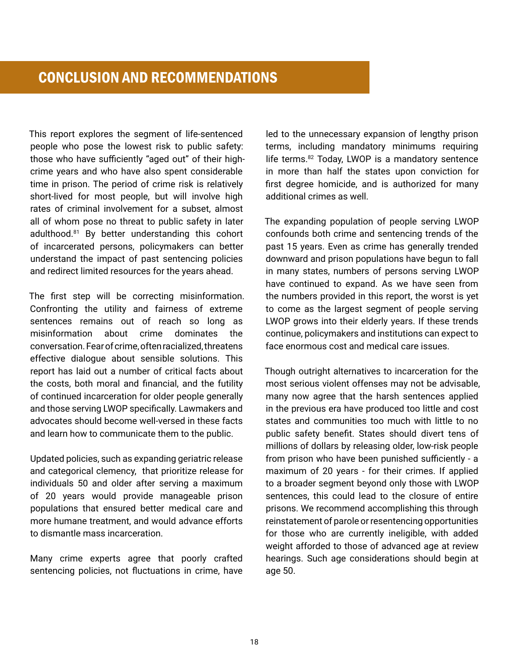This report explores the segment of life-sentenced people who pose the lowest risk to public safety: those who have sufficiently "aged out" of their highcrime years and who have also spent considerable time in prison. The period of crime risk is relatively short-lived for most people, but will involve high rates of criminal involvement for a subset, almost all of whom pose no threat to public safety in later adulthood.81 By better understanding this cohort of incarcerated persons, policymakers can better understand the impact of past sentencing policies and redirect limited resources for the years ahead.

The first step will be correcting misinformation. Confronting the utility and fairness of extreme sentences remains out of reach so long as misinformation about crime dominates the conversation. Fear of crime, often racialized, threatens effective dialogue about sensible solutions. This report has laid out a number of critical facts about the costs, both moral and financial, and the futility of continued incarceration for older people generally and those serving LWOP specifically. Lawmakers and advocates should become well-versed in these facts and learn how to communicate them to the public.

Updated policies, such as expanding geriatric release and categorical clemency, that prioritize release for individuals 50 and older after serving a maximum of 20 years would provide manageable prison populations that ensured better medical care and more humane treatment, and would advance efforts to dismantle mass incarceration.

Many crime experts agree that poorly crafted sentencing policies, not fluctuations in crime, have

led to the unnecessary expansion of lengthy prison terms, including mandatory minimums requiring life terms.<sup>82</sup> Today, LWOP is a mandatory sentence in more than half the states upon conviction for first degree homicide, and is authorized for many additional crimes as well.

The expanding population of people serving LWOP confounds both crime and sentencing trends of the past 15 years. Even as crime has generally trended downward and prison populations have begun to fall in many states, numbers of persons serving LWOP have continued to expand. As we have seen from the numbers provided in this report, the worst is yet to come as the largest segment of people serving LWOP grows into their elderly years. If these trends continue, policymakers and institutions can expect to face enormous cost and medical care issues.

Though outright alternatives to incarceration for the most serious violent offenses may not be advisable, many now agree that the harsh sentences applied in the previous era have produced too little and cost states and communities too much with little to no public safety benefit. States should divert tens of millions of dollars by releasing older, low-risk people from prison who have been punished sufficiently - a maximum of 20 years - for their crimes. If applied to a broader segment beyond only those with LWOP sentences, this could lead to the closure of entire prisons. We recommend accomplishing this through reinstatement of parole or resentencing opportunities for those who are currently ineligible, with added weight afforded to those of advanced age at review hearings. Such age considerations should begin at age 50.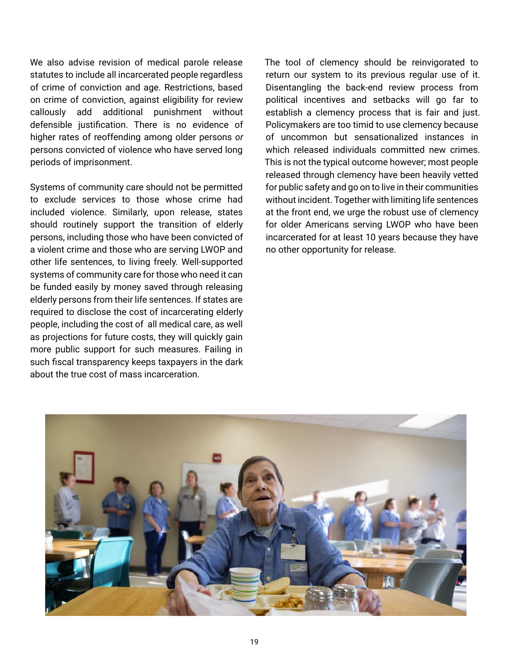We also advise revision of medical parole release statutes to include all incarcerated people regardless of crime of conviction and age. Restrictions, based on crime of conviction, against eligibility for review callously add additional punishment without defensible justification. There is no evidence of higher rates of reoffending among older persons *or*  persons convicted of violence who have served long periods of imprisonment.

Systems of community care should not be permitted to exclude services to those whose crime had included violence. Similarly, upon release, states should routinely support the transition of elderly persons, including those who have been convicted of a violent crime and those who are serving LWOP and other life sentences, to living freely. Well-supported systems of community care for those who need it can be funded easily by money saved through releasing elderly persons from their life sentences. If states are required to disclose the cost of incarcerating elderly people, including the cost of all medical care, as well as projections for future costs, they will quickly gain more public support for such measures. Failing in such fiscal transparency keeps taxpayers in the dark about the true cost of mass incarceration.

The tool of clemency should be reinvigorated to return our system to its previous regular use of it. Disentangling the back-end review process from political incentives and setbacks will go far to establish a clemency process that is fair and just. Policymakers are too timid to use clemency because of uncommon but sensationalized instances in which released individuals committed new crimes. This is not the typical outcome however; most people released through clemency have been heavily vetted for public safety and go on to live in their communities without incident. Together with limiting life sentences at the front end, we urge the robust use of clemency for older Americans serving LWOP who have been incarcerated for at least 10 years because they have no other opportunity for release.

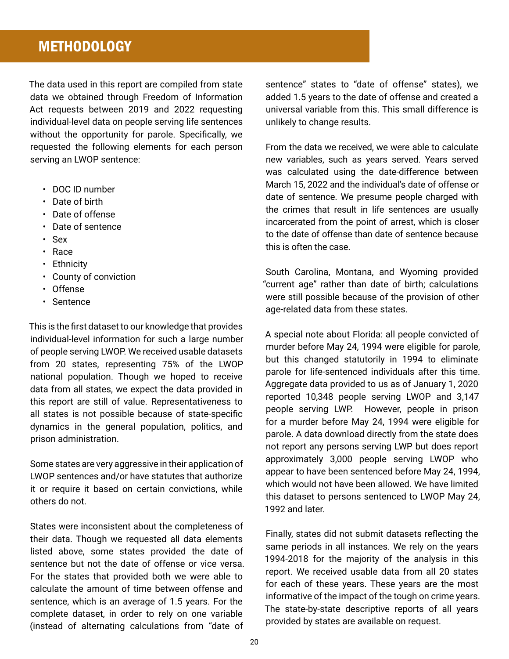## **METHODOLOGY**

The data used in this report are compiled from state data we obtained through Freedom of Information Act requests between 2019 and 2022 requesting individual-level data on people serving life sentences without the opportunity for parole. Specifically, we requested the following elements for each person serving an LWOP sentence:

- DOC ID number
- Date of birth
- Date of offense
- Date of sentence
- Sex
- Race
- Ethnicity
- County of conviction
- Offense
- Sentence

This is the first dataset to our knowledge that provides individual-level information for such a large number of people serving LWOP. We received usable datasets from 20 states, representing 75% of the LWOP national population. Though we hoped to receive data from all states, we expect the data provided in this report are still of value. Representativeness to all states is not possible because of state-specific dynamics in the general population, politics, and prison administration.

Some states are very aggressive in their application of LWOP sentences and/or have statutes that authorize it or require it based on certain convictions, while others do not.

States were inconsistent about the completeness of their data. Though we requested all data elements listed above, some states provided the date of sentence but not the date of offense or vice versa. For the states that provided both we were able to calculate the amount of time between offense and sentence, which is an average of 1.5 years. For the complete dataset, in order to rely on one variable (instead of alternating calculations from "date of

sentence" states to "date of offense" states), we added 1.5 years to the date of offense and created a universal variable from this. This small difference is unlikely to change results.

From the data we received, we were able to calculate new variables, such as years served. Years served was calculated using the date-difference between March 15, 2022 and the individual's date of offense or date of sentence. We presume people charged with the crimes that result in life sentences are usually incarcerated from the point of arrest, which is closer to the date of offense than date of sentence because this is often the case.

South Carolina, Montana, and Wyoming provided "current age" rather than date of birth; calculations were still possible because of the provision of other age-related data from these states.

A special note about Florida: all people convicted of murder before May 24, 1994 were eligible for parole, but this changed statutorily in 1994 to eliminate parole for life-sentenced individuals after this time. Aggregate data provided to us as of January 1, 2020 reported 10,348 people serving LWOP and 3,147 people serving LWP. However, people in prison for a murder before May 24, 1994 were eligible for parole. A data download directly from the state does not report any persons serving LWP but does report approximately 3,000 people serving LWOP who appear to have been sentenced before May 24, 1994, which would not have been allowed. We have limited this dataset to persons sentenced to LWOP May 24, 1992 and later.

Finally, states did not submit datasets reflecting the same periods in all instances. We rely on the years 1994-2018 for the majority of the analysis in this report. We received usable data from all 20 states for each of these years. These years are the most informative of the impact of the tough on crime years. The state-by-state descriptive reports of all years provided by states are available on request.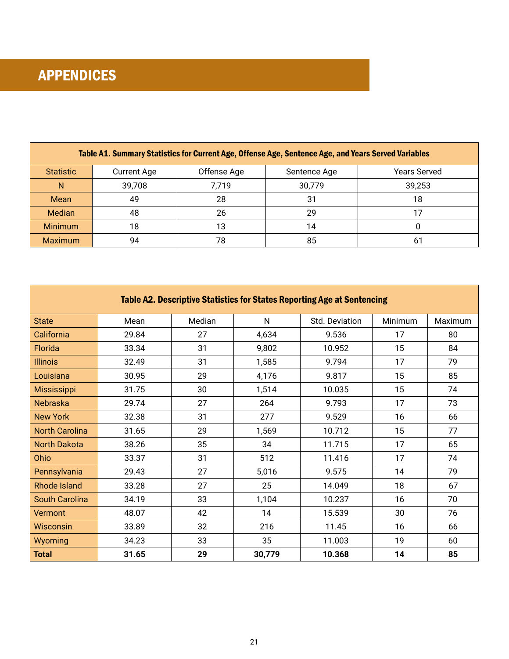| Table A1. Summary Statistics for Current Age, Offense Age, Sentence Age, and Years Served Variables |                    |             |              |                     |
|-----------------------------------------------------------------------------------------------------|--------------------|-------------|--------------|---------------------|
| <b>Statistic</b>                                                                                    | <b>Current Age</b> | Offense Age | Sentence Age | <b>Years Served</b> |
| N                                                                                                   | 39,708             | 7,719       | 30,779       | 39,253              |
| Mean                                                                                                | 49                 | 28          | 31           | 18                  |
| <b>Median</b>                                                                                       | 48                 | 26          | 29           |                     |
| <b>Minimum</b>                                                                                      | 18                 | 13          | 14           |                     |
| <b>Maximum</b>                                                                                      | 94                 | 78          | 85           | 61                  |

| Table A2. Descriptive Statistics for States Reporting Age at Sentencing |       |        |        |                |         |         |
|-------------------------------------------------------------------------|-------|--------|--------|----------------|---------|---------|
| <b>State</b>                                                            | Mean  | Median | N      | Std. Deviation | Minimum | Maximum |
| California                                                              | 29.84 | 27     | 4,634  | 9.536          | 17      | 80      |
| Florida                                                                 | 33.34 | 31     | 9,802  | 10.952         | 15      | 84      |
| <b>Illinois</b>                                                         | 32.49 | 31     | 1,585  | 9.794          | 17      | 79      |
| Louisiana                                                               | 30.95 | 29     | 4,176  | 9.817          | 15      | 85      |
| Mississippi                                                             | 31.75 | 30     | 1,514  | 10.035         | 15      | 74      |
| Nebraska                                                                | 29.74 | 27     | 264    | 9.793          | 17      | 73      |
| <b>New York</b>                                                         | 32.38 | 31     | 277    | 9.529          | 16      | 66      |
| <b>North Carolina</b>                                                   | 31.65 | 29     | 1,569  | 10.712         | 15      | 77      |
| <b>North Dakota</b>                                                     | 38.26 | 35     | 34     | 11.715         | 17      | 65      |
| Ohio                                                                    | 33.37 | 31     | 512    | 11.416         | 17      | 74      |
| Pennsylvania                                                            | 29.43 | 27     | 5,016  | 9.575          | 14      | 79      |
| <b>Rhode Island</b>                                                     | 33.28 | 27     | 25     | 14.049         | 18      | 67      |
| <b>South Carolina</b>                                                   | 34.19 | 33     | 1,104  | 10.237         | 16      | 70      |
| Vermont                                                                 | 48.07 | 42     | 14     | 15.539         | 30      | 76      |
| Wisconsin                                                               | 33.89 | 32     | 216    | 11.45          | 16      | 66      |
| Wyoming                                                                 | 34.23 | 33     | 35     | 11.003         | 19      | 60      |
| <b>Total</b>                                                            | 31.65 | 29     | 30,779 | 10.368         | 14      | 85      |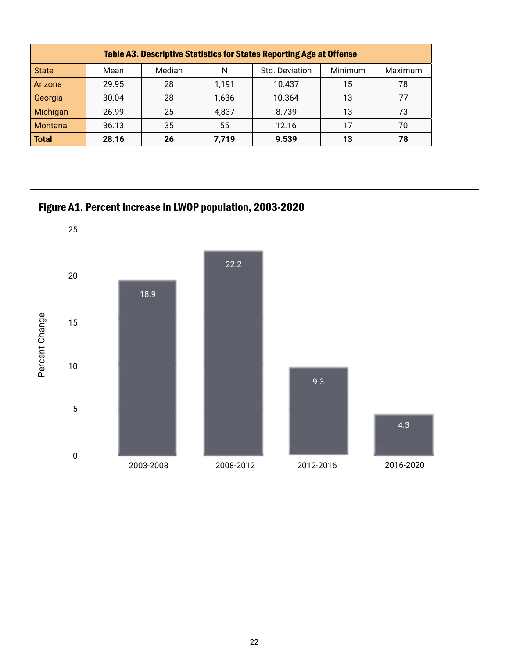| Table A3. Descriptive Statistics for States Reporting Age at Offense |       |        |       |                |         |         |
|----------------------------------------------------------------------|-------|--------|-------|----------------|---------|---------|
| <b>State</b>                                                         | Mean  | Median | N     | Std. Deviation | Minimum | Maximum |
| Arizona                                                              | 29.95 | 28     | 1,191 | 10.437         | 15      | 78      |
| Georgia                                                              | 30.04 | 28     | 1,636 | 10.364         | 13      | 77      |
| Michigan                                                             | 26.99 | 25     | 4,837 | 8.739          | 13      | 73      |
| <b>Montana</b>                                                       | 36.13 | 35     | 55    | 12.16          | 17      | 70      |
| <b>Total</b>                                                         | 28.16 | 26     | 7,719 | 9.539          | 13      | 78      |

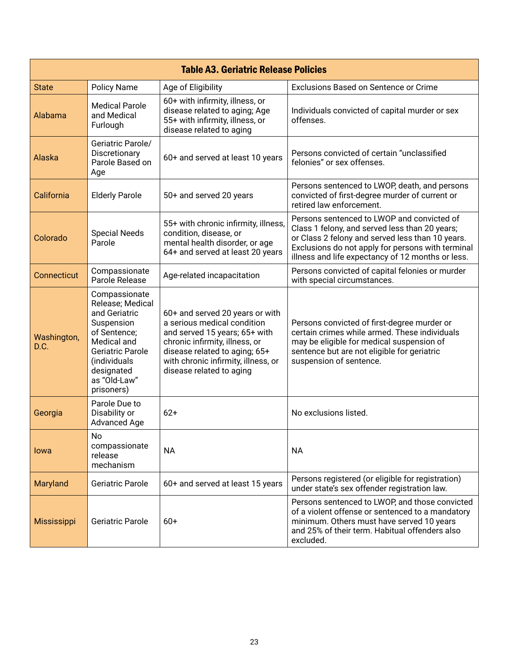| <b>Table A3. Geriatric Release Policies</b> |                                                                                                                                                                                         |                                                                                                                                                                                                                                       |                                                                                                                                                                                                                                                            |  |
|---------------------------------------------|-----------------------------------------------------------------------------------------------------------------------------------------------------------------------------------------|---------------------------------------------------------------------------------------------------------------------------------------------------------------------------------------------------------------------------------------|------------------------------------------------------------------------------------------------------------------------------------------------------------------------------------------------------------------------------------------------------------|--|
| <b>State</b>                                | <b>Policy Name</b>                                                                                                                                                                      | Age of Eligibility                                                                                                                                                                                                                    | <b>Exclusions Based on Sentence or Crime</b>                                                                                                                                                                                                               |  |
| Alabama                                     | <b>Medical Parole</b><br>and Medical<br>Furlough                                                                                                                                        | 60+ with infirmity, illness, or<br>disease related to aging; Age<br>55+ with infirmity, illness, or<br>disease related to aging                                                                                                       | Individuals convicted of capital murder or sex<br>offenses.                                                                                                                                                                                                |  |
| Alaska                                      | Geriatric Parole/<br>Discretionary<br>Parole Based on<br>Age                                                                                                                            | 60+ and served at least 10 years                                                                                                                                                                                                      | Persons convicted of certain "unclassified<br>felonies" or sex offenses.                                                                                                                                                                                   |  |
| California                                  | <b>Elderly Parole</b>                                                                                                                                                                   | 50+ and served 20 years                                                                                                                                                                                                               | Persons sentenced to LWOP, death, and persons<br>convicted of first-degree murder of current or<br>retired law enforcement.                                                                                                                                |  |
| Colorado                                    | <b>Special Needs</b><br>Parole                                                                                                                                                          | 55+ with chronic infirmity, illness,<br>condition, disease, or<br>mental health disorder, or age<br>64+ and served at least 20 years                                                                                                  | Persons sentenced to LWOP and convicted of<br>Class 1 felony, and served less than 20 years;<br>or Class 2 felony and served less than 10 years.<br>Exclusions do not apply for persons with terminal<br>illness and life expectancy of 12 months or less. |  |
| Connecticut                                 | Compassionate<br>Parole Release                                                                                                                                                         | Age-related incapacitation                                                                                                                                                                                                            | Persons convicted of capital felonies or murder<br>with special circumstances.                                                                                                                                                                             |  |
| Washington,<br>D.C.                         | Compassionate<br>Release; Medical<br>and Geriatric<br>Suspension<br>of Sentence;<br>Medical and<br><b>Geriatric Parole</b><br>(individuals)<br>designated<br>as "Old-Law"<br>prisoners) | 60+ and served 20 years or with<br>a serious medical condition<br>and served 15 years; 65+ with<br>chronic infirmity, illness, or<br>disease related to aging; 65+<br>with chronic infirmity, illness, or<br>disease related to aging | Persons convicted of first-degree murder or<br>certain crimes while armed. These individuals<br>may be eligible for medical suspension of<br>sentence but are not eligible for geriatric<br>suspension of sentence.                                        |  |
| Georgia                                     | Parole Due to<br>Disability or<br>Advanced Age                                                                                                                                          | $62+$                                                                                                                                                                                                                                 | No exclusions listed.                                                                                                                                                                                                                                      |  |
| lowa                                        | <b>No</b><br>compassionate<br>release<br>mechanism                                                                                                                                      | <b>NA</b>                                                                                                                                                                                                                             | <b>NA</b>                                                                                                                                                                                                                                                  |  |
| Maryland                                    | Geriatric Parole                                                                                                                                                                        | 60+ and served at least 15 years                                                                                                                                                                                                      | Persons registered (or eligible for registration)<br>under state's sex offender registration law.                                                                                                                                                          |  |
| Mississippi                                 | <b>Geriatric Parole</b>                                                                                                                                                                 | $60+$                                                                                                                                                                                                                                 | Persons sentenced to LWOP, and those convicted<br>of a violent offense or sentenced to a mandatory<br>minimum. Others must have served 10 years<br>and 25% of their term. Habitual offenders also<br>excluded.                                             |  |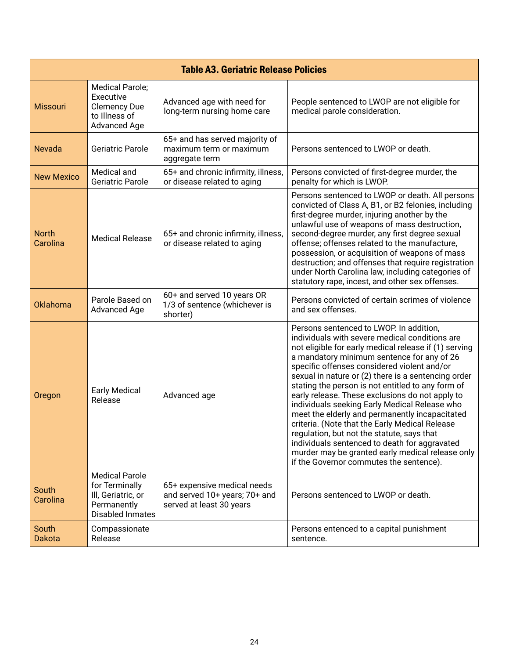| <b>Table A3. Geriatric Release Policies</b> |                                                                                                         |                                                                                          |                                                                                                                                                                                                                                                                                                                                                                                                                                                                                                                                                                                                                                                                                                                                                                   |  |
|---------------------------------------------|---------------------------------------------------------------------------------------------------------|------------------------------------------------------------------------------------------|-------------------------------------------------------------------------------------------------------------------------------------------------------------------------------------------------------------------------------------------------------------------------------------------------------------------------------------------------------------------------------------------------------------------------------------------------------------------------------------------------------------------------------------------------------------------------------------------------------------------------------------------------------------------------------------------------------------------------------------------------------------------|--|
| <b>Missouri</b>                             | Medical Parole;<br>Executive<br><b>Clemency Due</b><br>to Illness of<br><b>Advanced Age</b>             | Advanced age with need for<br>long-term nursing home care                                | People sentenced to LWOP are not eligible for<br>medical parole consideration.                                                                                                                                                                                                                                                                                                                                                                                                                                                                                                                                                                                                                                                                                    |  |
| <b>Nevada</b>                               | Geriatric Parole                                                                                        | 65+ and has served majority of<br>maximum term or maximum<br>aggregate term              | Persons sentenced to LWOP or death.                                                                                                                                                                                                                                                                                                                                                                                                                                                                                                                                                                                                                                                                                                                               |  |
| <b>New Mexico</b>                           | Medical and<br><b>Geriatric Parole</b>                                                                  | 65+ and chronic infirmity, illness,<br>or disease related to aging                       | Persons convicted of first-degree murder, the<br>penalty for which is LWOP.                                                                                                                                                                                                                                                                                                                                                                                                                                                                                                                                                                                                                                                                                       |  |
| <b>North</b><br>Carolina                    | <b>Medical Release</b>                                                                                  | 65+ and chronic infirmity, illness,<br>or disease related to aging                       | Persons sentenced to LWOP or death. All persons<br>convicted of Class A, B1, or B2 felonies, including<br>first-degree murder, injuring another by the<br>unlawful use of weapons of mass destruction,<br>second-degree murder, any first degree sexual<br>offense; offenses related to the manufacture,<br>possession, or acquisition of weapons of mass<br>destruction; and offenses that require registration<br>under North Carolina law, including categories of<br>statutory rape, incest, and other sex offenses.                                                                                                                                                                                                                                          |  |
| Oklahoma                                    | Parole Based on<br><b>Advanced Age</b>                                                                  | 60+ and served 10 years OR<br>1/3 of sentence (whichever is<br>shorter)                  | Persons convicted of certain scrimes of violence<br>and sex offenses.                                                                                                                                                                                                                                                                                                                                                                                                                                                                                                                                                                                                                                                                                             |  |
| Oregon                                      | <b>Early Medical</b><br>Release                                                                         | Advanced age                                                                             | Persons sentenced to LWOP. In addition,<br>individuals with severe medical conditions are<br>not eligible for early medical release if (1) serving<br>a mandatory minimum sentence for any of 26<br>specific offenses considered violent and/or<br>sexual in nature or (2) there is a sentencing order<br>stating the person is not entitled to any form of<br>early release. These exclusions do not apply to<br>individuals seeking Early Medical Release who<br>meet the elderly and permanently incapacitated<br>criteria. (Note that the Early Medical Release<br>regulation, but not the statute, says that<br>individuals sentenced to death for aggravated<br>murder may be granted early medical release only<br>if the Governor commutes the sentence). |  |
| South<br>Carolina                           | <b>Medical Parole</b><br>for Terminally<br>III, Geriatric, or<br>Permanently<br><b>Disabled Inmates</b> | 65+ expensive medical needs<br>and served 10+ years; 70+ and<br>served at least 30 years | Persons sentenced to LWOP or death.                                                                                                                                                                                                                                                                                                                                                                                                                                                                                                                                                                                                                                                                                                                               |  |
| South<br><b>Dakota</b>                      | Compassionate<br>Release                                                                                |                                                                                          | Persons entenced to a capital punishment<br>sentence.                                                                                                                                                                                                                                                                                                                                                                                                                                                                                                                                                                                                                                                                                                             |  |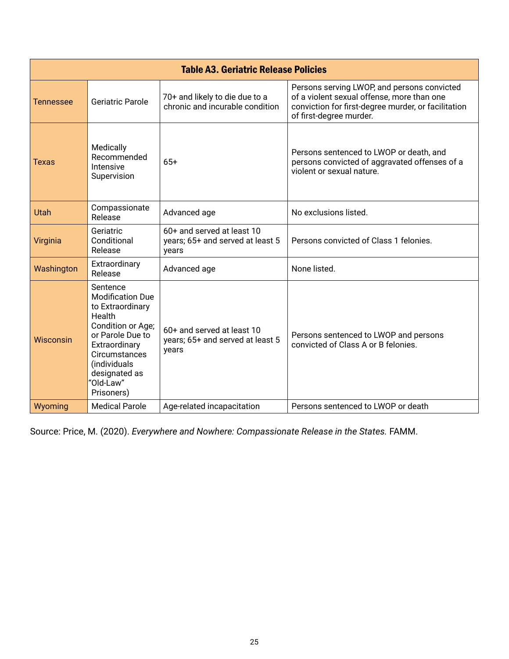| <b>Table A3. Geriatric Release Policies</b> |                                                                                                                                                                                                          |                                                                         |                                                                                                                                                                             |  |
|---------------------------------------------|----------------------------------------------------------------------------------------------------------------------------------------------------------------------------------------------------------|-------------------------------------------------------------------------|-----------------------------------------------------------------------------------------------------------------------------------------------------------------------------|--|
| Tennessee                                   | Geriatric Parole                                                                                                                                                                                         | 70+ and likely to die due to a<br>chronic and incurable condition       | Persons serving LWOP, and persons convicted<br>of a violent sexual offense, more than one<br>conviction for first-degree murder, or facilitation<br>of first-degree murder. |  |
| Texas                                       | Medically<br>Recommended<br>Intensive<br>Supervision                                                                                                                                                     | $65+$                                                                   | Persons sentenced to LWOP or death, and<br>persons convicted of aggravated offenses of a<br>violent or sexual nature.                                                       |  |
| Utah                                        | Compassionate<br>Release                                                                                                                                                                                 | Advanced age                                                            | No exclusions listed.                                                                                                                                                       |  |
| Virginia                                    | Geriatric<br>Conditional<br>Release                                                                                                                                                                      | 60+ and served at least 10<br>years; 65+ and served at least 5<br>years | Persons convicted of Class 1 felonies.                                                                                                                                      |  |
| Washington                                  | Extraordinary<br>Release                                                                                                                                                                                 | Advanced age                                                            | None listed.                                                                                                                                                                |  |
| Wisconsin                                   | Sentence<br><b>Modification Due</b><br>to Extraordinary<br>Health<br>Condition or Age;<br>or Parole Due to<br>Extraordinary<br>Circumstances<br>(individuals<br>designated as<br>"Old-Law"<br>Prisoners) | 60+ and served at least 10<br>years; 65+ and served at least 5<br>years | Persons sentenced to LWOP and persons<br>convicted of Class A or B felonies.                                                                                                |  |
| Wyoming                                     | <b>Medical Parole</b>                                                                                                                                                                                    | Age-related incapacitation                                              | Persons sentenced to LWOP or death                                                                                                                                          |  |

Source: Price, M. (2020). *[Everywhere and Nowhere: Compassionate Release in the States.](https://famm.org/our-work/compassionate-release/everywhere-and-nowhere/)* FAMM.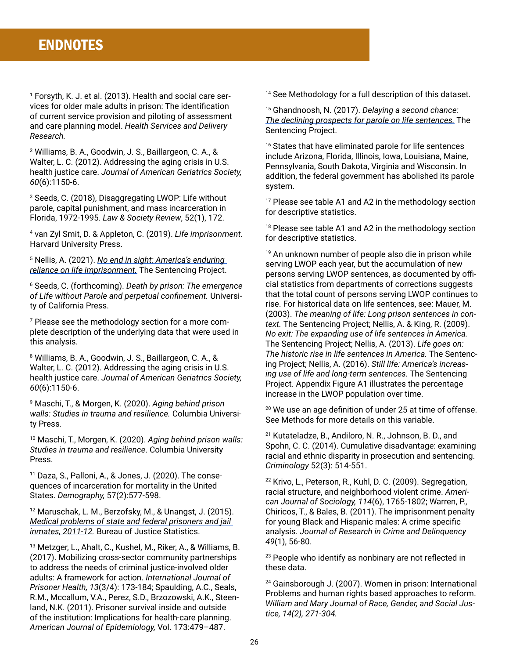1 Forsyth, K. J. et al. (2013). Health and social care services for older male adults in prison: The identification of current service provision and piloting of assessment and care planning model. *Health Services and Delivery Research.*

2 Williams, B. A., Goodwin, J. S., Baillargeon, C. A., & Walter, L. C. (2012). Addressing the aging crisis in U.S. health justice care. *Journal of American Geriatrics Society, 60*(6):1150-6.

3 Seeds, C. (2018), Disaggregating LWOP: Life without parole, capital punishment, and mass incarceration in Florida, 1972-1995. *Law & Society Review*, 52(1), 172.

4 van Zyl Smit, D. & Appleton, C. (2019). *Life imprisonment.*  Harvard University Press.

5 Nellis, A. (2021). *[No end in sight: America's enduring](https://www.sentencingproject.org/publications/no-end-in-sight-americas-enduring-reliance-on-life-imprisonment/)  [reliance on life imprisonment.](https://www.sentencingproject.org/publications/no-end-in-sight-americas-enduring-reliance-on-life-imprisonment/)* The Sentencing Project.

6 Seeds, C. (forthcoming). *Death by prison: The emergence of Life without Parole and perpetual confinement.* University of California Press.

7 Please see the methodology section for a more complete description of the underlying data that were used in this analysis.

8 Williams, B. A., Goodwin, J. S., Baillargeon, C. A., & Walter, L. C. (2012). Addressing the aging crisis in U.S. health justice care. *Journal of American Geriatrics Society, 60*(6):1150-6.

9 Maschi, T., & Morgen, K. (2020). *Aging behind prison walls: Studies in trauma and resilience.* Columbia University Press.

10 Maschi, T., Morgen, K. (2020). *Aging behind prison walls: Studies in trauma and resilience*. Columbia University Press.

11 Daza, S., Palloni, A., & Jones, J. (2020). The consequences of incarceration for mortality in the United States. *Demography,* 57(2):577-598.

12 Maruschak, L. M., Berzofsky, M., & Unangst, J. (2015). *[Medical problems of state and federal prisoners and jail](https://bjs.ojp.gov/content/pub/pdf/mpsfpji1112.pdf)  [inmates, 2011-12](https://bjs.ojp.gov/content/pub/pdf/mpsfpji1112.pdf).* Bureau of Justice Statistics.

13 Metzger, L., Ahalt, C., Kushel, M., Riker, A., & Williams, B. (2017). Mobilizing cross-sector community partnerships to address the needs of criminal justice-involved older adults: A framework for action. *International Journal of Prisoner Health, 13*(3/4): 173-184; Spaulding, A.C., Seals, R.M., Mccallum, V.A., Perez, S.D., Brzozowski, A.K., Steenland, N.K. (2011). Prisoner survival inside and outside of the institution: Implications for health-care planning. *American Journal of Epidemiology,* Vol. 173:479–487.

<sup>14</sup> See Methodology for a full description of this dataset.

15 Ghandnoosh, N. (2017). *[Delaying a second chance:](https://www.sentencingproject.org/wp-content/uploads/2017/01/Delaying-a-Second-Chance.pdf)  [The declining prospects for parole on life sentences.](https://www.sentencingproject.org/wp-content/uploads/2017/01/Delaying-a-Second-Chance.pdf)* The Sentencing Project.

<sup>16</sup> States that have eliminated parole for life sentences include Arizona, Florida, Illinois, Iowa, Louisiana, Maine, Pennsylvania, South Dakota, Virginia and Wisconsin. In addition, the federal government has abolished its parole system.

17 Please see table A1 and A2 in the methodology section for descriptive statistics.

<sup>18</sup> Please see table A1 and A2 in the methodology section for descriptive statistics.

19 An unknown number of people also die in prison while serving LWOP each year, but the accumulation of new persons serving LWOP sentences, as documented by official statistics from departments of corrections suggests that the total count of persons serving LWOP continues to rise. For historical data on life sentences, see: Mauer, M. (2003). *The meaning of life: Long prison sentences in context.* The Sentencing Project; Nellis, A. & King, R. (2009). *No exit: The expanding use of life sentences in America.* The Sentencing Project; Nellis, A. (2013). *Life goes on: The historic rise in life sentences in America.* The Sentencing Project; Nellis, A. (2016). *Still life: America's increasing use of life and long-term sentences.* The Sentencing Project. Appendix Figure A1 illustrates the percentage increase in the LWOP population over time.

<sup>20</sup> We use an age definition of under 25 at time of offense. See Methods for more details on this variable.

21 Kutateladze, B., Andiloro, N. R., Johnson, B. D., and Spohn, C. C. (2014). Cumulative disadvantage: examining racial and ethnic disparity in prosecution and sentencing. *Criminology* 52(3): 514-551.

22 Krivo, L., Peterson, R., Kuhl, D. C. (2009). Segregation, racial structure, and neighborhood violent crime. *American Journal of Sociology, 114*(6), 1765-1802; Warren, P., Chiricos, T., & Bales, B. (2011). The imprisonment penalty for young Black and Hispanic males: A crime specific analysis. *Journal of Research in Crime and Delinquency 49*(1), 56-80.

<sup>23</sup> People who identify as nonbinary are not reflected in these data.

24 Gainsborough J. (2007). Women in prison: International Problems and human rights based approaches to reform. *William and Mary Journal of Race, Gender, and Social Justice, 14(2), 271-304.*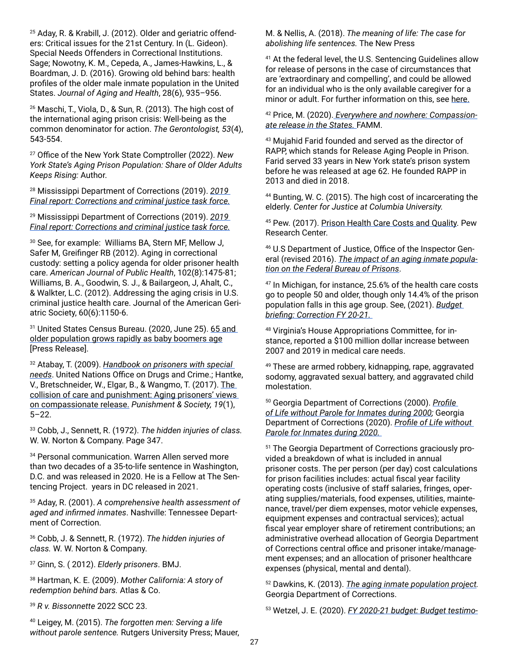25 Aday, R. & Krabill, J. (2012). Older and geriatric offenders: Critical issues for the 21st Century. In (L. Gideon). Special Needs Offenders in Correctional Institutions. Sage; Nowotny, K. M., Cepeda, A., James-Hawkins, L., & Boardman, J. D. (2016). Growing old behind bars: health profiles of the older male inmate population in the United States. *Journal of Aging and Health*, 28(6), 935–956.

<sup>26</sup> Maschi, T., Viola, D., & Sun, R. (2013). The high cost of the international aging prison crisis: Well-being as the common denominator for action. *The Gerontologist, 53*(4), 543-554.

<sup>27</sup> Office of the New York State Comptroller (2022). *New York State's Aging Prison Population: Share of Older Adults Keeps Rising:* Author.

28 Mississippi Department of Corrections (2019). *[2019](https://www.mdoc.ms.gov/Documents/Criminal%20Justice%20Oversight%20Task%20Force/Jan%202020%20Final%20Report_Task%20Force.pdf)  [Final report: Corrections and criminal justice task force.](https://www.mdoc.ms.gov/Documents/Criminal%20Justice%20Oversight%20Task%20Force/Jan%202020%20Final%20Report_Task%20Force.pdf)*

29 Mississippi Department of Corrections (2019). *[2019](https://www.mdoc.ms.gov/Documents/Criminal%20Justice%20Oversight%20Task%20Force/Jan%202020%20Final%20Report_Task%20Force.pdf)  [Final report: Corrections and criminal justice task force.](https://www.mdoc.ms.gov/Documents/Criminal%20Justice%20Oversight%20Task%20Force/Jan%202020%20Final%20Report_Task%20Force.pdf)*

30 See, for example: Williams BA, Stern MF, Mellow J, Safer M, Greifinger RB (2012). Aging in correctional custody: setting a policy agenda for older prisoner health care. *American Journal of Public Health*, 102(8):1475-81; Williams, B. A., Goodwin, S. J., & Bailargeon, J, Ahalt, C., & Walkter, L.C. (2012). Addressing the aging crisis in U.S. criminal justice health care. Journal of the American Geriatric Society, 60(6):1150-6.

<sup>31</sup> United States Census Bureau. (2020, June 25). 65 and [older population grows rapidly as baby boomers age](https://www.census.gov/newsroom/press-releases/2020/65-older-population-grows.html) [Press Release].

32 Atabay, T. (2009). *[Handbook on prisoners with special](https://www.unodc.org/pdf/criminal_justice/Handbook_on_Prisoners_with_Special_Needs.pdf)  [needs](https://www.unodc.org/pdf/criminal_justice/Handbook_on_Prisoners_with_Special_Needs.pdf)*. United Nations Office on Drugs and Crime.; Hantke, V., Bretschneider, W., Elgar, B., & Wangmo, T. (2017). [The](https://journals.sagepub.com/doi/full/10.1177/1462474516644679)  [collision of care and punishment: Aging prisoners' views](https://journals.sagepub.com/doi/full/10.1177/1462474516644679)  [on compassionate release.](https://journals.sagepub.com/doi/full/10.1177/1462474516644679) *Punishment & Society, 19*(1), 5–22.

33 Cobb, J., Sennett, R. (1972). *The hidden injuries of class.*  W. W. Norton & Company. Page 347.

34 Personal communication. Warren Allen served more than two decades of a 35-to-life sentence in Washington, D.C. and was released in 2020. He is a Fellow at The Sentencing Project. years in DC released in 2021.

35 Aday, R. (2001). *A comprehensive health assessment of aged and infirmed inmates*. Nashville: Tennessee Department of Correction.

<sup>36</sup> Cobb, J. & Sennett, R. (1972). *The hidden injuries of class.* W. W. Norton & Company.

37 Ginn, S. ( 2012). *Elderly prisoners*. BMJ.

38 Hartman, K. E. (2009). *Mother California: A story of redemption behind bars.* Atlas & Co.

<sup>39</sup> *R v. Bissonnette* 2022 SCC 23.

40 Leigey, M. (2015). *The forgotten men: Serving a life without parole sentence.* Rutgers University Press; Mauer,

M. & Nellis, A. (2018). *The meaning of life: The case for abolishing life sentences.* The New Press

<sup>41</sup> At the federal level, the U.S. Sentencing Guidelines allow for release of persons in the case of circumstances that are 'extraordinary and compelling', and could be allowed for an individual who is the only available caregiver for a minor or adult. For further information on this, see [here.](https://or.fd.org/system/files/case_docs/Compassionate%20Release%20Basics_REVISED_2templates.pdf)

42 Price, M. (2020)[.](https://famm.org/our-work/compassionate-release/everywhere-and-nowhere/) *[Everywhere and nowhere: Compassion](https://famm.org/our-work/compassionate-release/everywhere-and-nowhere/)[ate release in the States.](https://famm.org/our-work/compassionate-release/everywhere-and-nowhere/)* FAMM.

43 Mujahid Farid founded and served as the director of RAPP, which stands for Release Aging People in Prison. Farid served 33 years in New York state's prison system before he was released at age 62. He founded RAPP in 2013 and died in 2018.

44 Bunting, W. C. (2015). The high cost of incarcerating the elderly. *Center for Justice at Columbia University.* 

45 Pew. (2017). [Prison Health Care Costs and Quality.](https://www.pewtrusts.org/en/research-and-analysis/reports/2017/10/prison-health-care-costs-and-quality) Pew Research Center.

46 U.S Department of Justice, Office of the Inspector General (revised 2016). *[The impact of an aging inmate popula](https://oig.justice.gov/reports/2015/e1505.pdf)[tion on the Federal Bureau of Prisons](https://oig.justice.gov/reports/2015/e1505.pdf)*.

<sup>47</sup> In Michigan, for instance, 25.6% of the health care costs go to people 50 and older, though only 14.4% of the prison population falls in this age group. See, (2021). *[Budget](https://www.house.mi.gov/hfa/PDF/Briefings/Corrections_BudgetBriefing_fy20-21.pdf)  [briefing: Correction FY 20-21.](https://www.house.mi.gov/hfa/PDF/Briefings/Corrections_BudgetBriefing_fy20-21.pdf)* 

48 Virginia's House Appropriations Committee, for instance, reported a \$100 million dollar increase between 2007 and 2019 in medical care needs.

49 These are armed robbery, kidnapping, rape, aggravated sodomy, aggravated sexual battery, and aggravated child molestation.

50 Georgia Department of Corrections (2000). *[Profile](http://www.gdc.ga.gov/sites/all/files/pdf/Research/Monthly/Profile_life_wo_parole_2000_05.pdf)  [of Life without Parole for Inmates during 2000](http://www.gdc.ga.gov/sites/all/files/pdf/Research/Monthly/Profile_life_wo_parole_2000_05.pdf);* Georgia Department of Corrections (2020). *[Profile of Life without](http://www.gdc.ga.gov/sites/all/themes/gdc/pdf/Profile_life_wo_parole_2020_05.pdf)  [Parole for Inmates during 2020.](http://www.gdc.ga.gov/sites/all/themes/gdc/pdf/Profile_life_wo_parole_2020_05.pdf)* 

51 The Georgia Department of Corrections graciously provided a breakdown of what is included in annual prisoner costs. The per person (per day) cost calculations for prison facilities includes: actual fiscal year facility operating costs (inclusive of staff salaries, fringes, operating supplies/materials, food expenses, utilities, maintenance, travel/per diem expenses, motor vehicle expenses, equipment expenses and contractual services); actual fiscal year employer share of retirement contributions; an administrative overhead allocation of Georgia Department of Corrections central office and prisoner intake/management expenses; and an allocation of prisoner healthcare expenses (physical, mental and dental).

52 Dawkins, K. (2013). *[The aging inmate population project](http://www.dcor.state.ga.us/sites/all/files/pdf/Research/Standing/Aging_inmate_population.pdf).*  Georgia Department of Corrections.

53 Wetzel, J. E. (2020). *[FY 2020-21 budget: Budget testimo-](https://www.cor.pa.gov/About%20Us/Statistics/Documents/Budget%20Documents/Budget%20Testimony%202020-21.pdf)*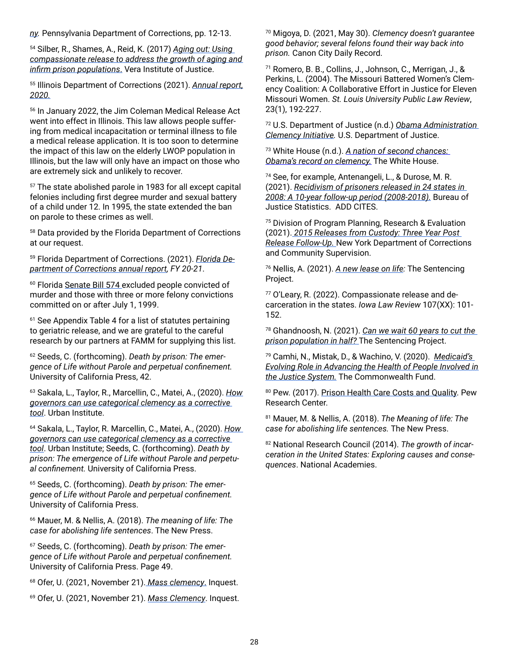*[ny.](https://www.cor.pa.gov/About%20Us/Statistics/Documents/Budget%20Documents/Budget%20Testimony%202020-21.pdf)* Pennsylvania Department of Corrections, pp. 12-13.

54 Silber, R., Shames, A., Reid, K. (2017) *[Aging out: Using](https://www.vera.org/publications/compassionate-release-aging-infirm-prison-populations)  [compassionate release to address the growth of aging and](https://www.vera.org/publications/compassionate-release-aging-infirm-prison-populations)  [infirm prison populations](https://www.vera.org/publications/compassionate-release-aging-infirm-prison-populations)*[.](https://www.vera.org/publications/compassionate-release-aging-infirm-prison-populations) Vera Institute of Justice.

55 Illinois Department of Corrections (2021). *[Annual report,](https://www2.illinois.gov/idoc/reportsandstatistics/Documents/FY20%20Annual%20Report%20FINAL.pdf) [2020.](https://www2.illinois.gov/idoc/reportsandstatistics/Documents/FY20%20Annual%20Report%20FINAL.pdf)*

<sup>56</sup> In January 2022, the Jim Coleman Medical Release Act went into effect in Illinois. This law allows people suffering from medical incapacitation or terminal illness to file a medical release application. It is too soon to determine the impact of this law on the elderly LWOP population in Illinois, but the law will only have an impact on those who are extremely sick and unlikely to recover.

57 The state abolished parole in 1983 for all except capital felonies including first degree murder and sexual battery of a child under 12. In 1995, the state extended the ban on parole to these crimes as well.

58 Data provided by the Florida Department of Corrections at our request.

59 Florida Department of Corrections. (2021). *[Florida De](http://www.dc.state.fl.us/pub/annual/2021/FDC_AR2020-21.pdf)[partment of Corrections annual report,](http://www.dc.state.fl.us/pub/annual/2021/FDC_AR2020-21.pdf) FY 20-21*.

<sup>60</sup> Florida [Senate Bill 574 e](https://www.flsenate.gov/Session/Bill/2020/574)xcluded people convicted of murder and those with three or more felony convictions committed on or after July 1, 1999.

<sup>61</sup> See Appendix Table 4 for a list of statutes pertaining to geriatric release, and we are grateful to the careful research by our partners at FAMM for supplying this list.

62 Seeds, C. (forthcoming). *Death by prison: The emergence of Life without Parole and perpetual confinement.*  University of California Press, 42.

<sup>63</sup> Sakala, L., Taylor, R., Marcellin, C., Matei, A., (2020). *[How](https://www.urban.org/sites/default/files/publication/102696/how-governors-can-use-categorical-clemency-as-a-corrective-tool_0_1.pdf)  [governors can use categorical clemency as a corrective](https://www.urban.org/sites/default/files/publication/102696/how-governors-can-use-categorical-clemency-as-a-corrective-tool_0_1.pdf)  [tool](https://www.urban.org/sites/default/files/publication/102696/how-governors-can-use-categorical-clemency-as-a-corrective-tool_0_1.pdf)*. Urban Institute.

<sup>64</sup> Sakala, L., Taylor, R. Marcellin, C., Matei, A., (2020). *[How](https://www.urban.org/sites/default/files/publication/102696/how-governors-can-use-categorical-clemency-as-a-corrective-tool_0_1.pdf)  [governors can use categorical clemency as a corrective](https://www.urban.org/sites/default/files/publication/102696/how-governors-can-use-categorical-clemency-as-a-corrective-tool_0_1.pdf)  [tool](https://www.urban.org/sites/default/files/publication/102696/how-governors-can-use-categorical-clemency-as-a-corrective-tool_0_1.pdf)*. Urban Institute; Seeds, C. (forthcoming). *Death by prison: The emergence of Life without Parole and perpetual confinement.* University of California Press.

65 Seeds, C. (forthcoming). *Death by prison: The emergence of Life without Parole and perpetual confinement.*  University of California Press.

<sup>66</sup> Mauer, M. & Nellis, A. (2018). *The meaning of life: The case for abolishing life sentences*. The New Press.

67 Seeds, C. (forthcoming). *Death by prison: The emergence of Life without Parole and perpetual confinement.*  University of California Press. Page 49.

<sup>68</sup> Ofer, U. (2021, November 21)[.](https://inquest.org/mass-clemency/) *[Mass clemency](https://inquest.org/mass-clemency/)*[.](https://inquest.org/mass-clemency/) Inquest.

<sup>69</sup> Ofer, U. (2021, November 21). *[Mass Clemency](https://inquest.org/mass-clemency/)*. Inquest.

70 Migoya, D. (2021, May 30). *Clemency doesn't guarantee good behavior; several felons found their way back into prison.* Canon City Daily Record.

71 Romero, B. B., Collins, J., Johnson, C., Merrigan, J., & Perkins, L. (2004). The Missouri Battered Women's Clemency Coalition: A Collaborative Effort in Justice for Eleven Missouri Women. *St. Louis University Public Law Review*, 23(1), 192-227.

72 U.S. Department of Justice (n.d.) *[Obama Administration](https://www.justice.gov/archives/pardon/obama-administration-clemency-initiative)  [Clemency Initiative.](https://www.justice.gov/archives/pardon/obama-administration-clemency-initiative)* U.S. Department of Justice.

73 White House (n.d.). *[A nation of second chances:](https://obamawhitehouse.archives.gov/issues/clemency)  [Obama's record on clemency.](https://obamawhitehouse.archives.gov/issues/clemency)* The White House.

74 See, for example, Antenangeli, L., & Durose, M. R. (2021). *[Recidivism of prisoners released in 24 states in](https://bjs.ojp.gov/BJS_PUB/rpr24s0810yfup0818/Web%20content/508%20compliant%20PDFs)  [2008: A 10-year follow-up period \(2008-2018\).](https://bjs.ojp.gov/BJS_PUB/rpr24s0810yfup0818/Web%20content/508%20compliant%20PDFs)* Bureau of Justice Statistics. ADD CITES.

75 Division of Program Planning, Research & Evaluation (2021). *[2015 Releases from Custody: Three Year Post](https://doccs.ny.gov/system/files/documents/2021/11/2015-releases_three-year-post-release-follow-up_final_20211117.pdf)  [Release Follow-Up.](https://doccs.ny.gov/system/files/documents/2021/11/2015-releases_three-year-post-release-follow-up_final_20211117.pdf)* New York Department of Corrections and Community Supervision.

<sup>76</sup> Nellis, A. (2021). *[A new lease on life](https://www.sentencingproject.org/publications/a-new-lease-on-life/):* The Sentencing Project.

77 O'Leary, R. (2022). Compassionate release and decarceration in the states. *Iowa Law Review* 107(XX): 101- 152.

78 Ghandnoosh, N. (2021). *[Can we wait 60 years to cut the](https://www.sentencingproject.org/publications/can-we-wait-60-years-to-cut-the-prison-population-in-half/)  [prison population in half?](https://www.sentencingproject.org/publications/can-we-wait-60-years-to-cut-the-prison-population-in-half/)* The Sentencing Project.

79 Camhi, N., Mistak, D., & Wachino, V. (2020). *[Medicaid's](https://www.commonwealthfund.org/publications/issue-briefs/2020/nov/medicaid-role-health-people-involved-justice-system)  [Evolving Role in Advancing the Health of People Involved in](https://www.commonwealthfund.org/publications/issue-briefs/2020/nov/medicaid-role-health-people-involved-justice-system)  [the Justice System.](https://www.commonwealthfund.org/publications/issue-briefs/2020/nov/medicaid-role-health-people-involved-justice-system)* The Commonwealth Fund.

80 Pew. (2017). [Prison Health Care Costs and Quality.](https://www.pewtrusts.org/en/research-and-analysis/reports/2017/10/prison-health-care-costs-and-quality) Pew Research Center.

81 Mauer, M. & Nellis, A. (2018). *The Meaning of life: The case for abolishing life sentences.* The New Press.

82 National Research Council (2014). *The growth of incarceration in the United States: Exploring causes and consequences*. National Academies.